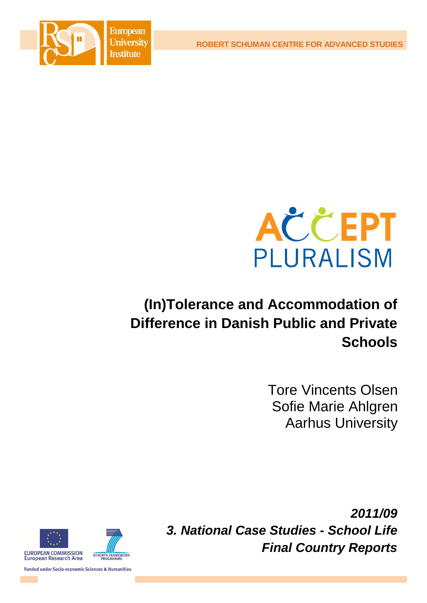**ROBERT SCHUMAN CENTRE FOR ADVANCED STUDIES**





# **(In)Tolerance and Accommodation of Difference in Danish Public and Private Schools**

Tore Vincents Olsen Sofie Marie Ahlgren Aarhus University

*2011/09 3. National Case Studies - School Life Final Country Reports*



**Funded under Socio-economic Sciences & Humanities**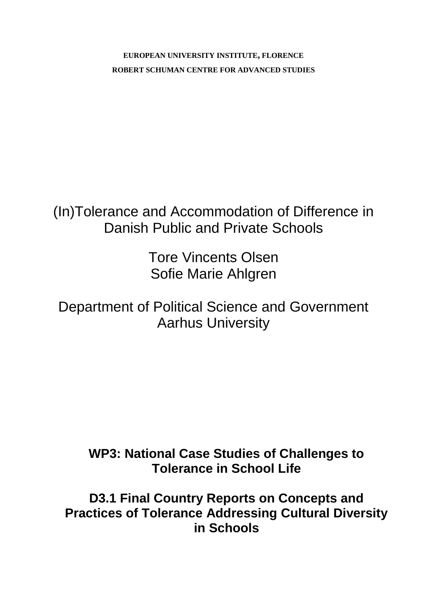**EUROPEAN UNIVERSITY INSTITUTE, FLORENCE ROBERT SCHUMAN CENTRE FOR ADVANCED STUDIES**

(In)Tolerance and Accommodation of Difference in Danish Public and Private Schools

> Tore Vincents Olsen Sofie Marie Ahlgren

Department of Political Science and Government Aarhus University

**WP3: National Case Studies of Challenges to Tolerance in School Life**

**D3.1 Final Country Reports on Concepts and Practices of Tolerance Addressing Cultural Diversity in Schools**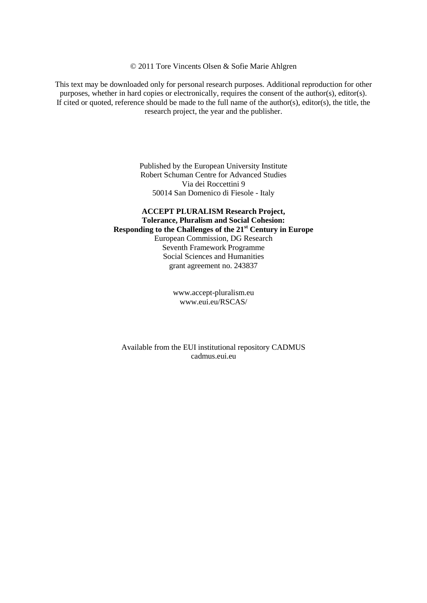© 2011 Tore Vincents Olsen & Sofie Marie Ahlgren

This text may be downloaded only for personal research purposes. Additional reproduction for other purposes, whether in hard copies or electronically, requires the consent of the author(s), editor(s). If cited or quoted, reference should be made to the full name of the author(s), editor(s), the title, the research project, the year and the publisher.

> Published by the European University Institute Robert Schuman Centre for Advanced Studies Via dei Roccettini 9 50014 San Domenico di Fiesole - Italy

**ACCEPT PLURALISM Research Project, Tolerance, Pluralism and Social Cohesion: Responding to the Challenges of the 21st Century in Europe**  European Commission, DG Research Seventh Framework Programme Social Sciences and Humanities grant agreement no. 243837

> [www.accept-pluralism.eu](http://www.accept-pluralism.eu/) [www.eui.eu/RSCAS/](http://www.eui.eu/RSCAS/)

Available from the EUI institutional repository CADMUS cadmus.eui.eu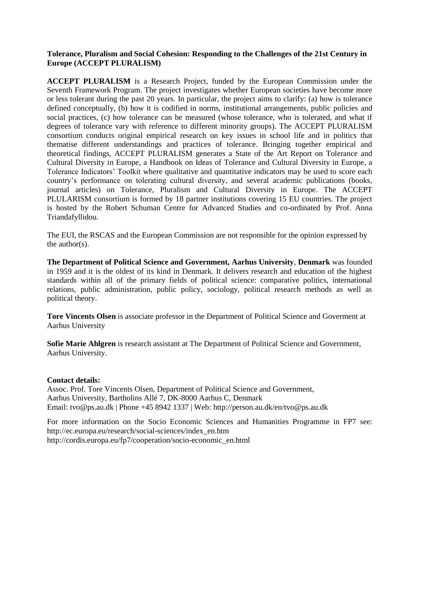#### **Tolerance, Pluralism and Social Cohesion: Responding to the Challenges of the 21st Century in Europe (ACCEPT PLURALISM)**

**ACCEPT PLURALISM** is a Research Project, funded by the European Commission under the Seventh Framework Program. The project investigates whether European societies have become more or less tolerant during the past 20 years. In particular, the project aims to clarify: (a) how is tolerance defined conceptually, (b) how it is codified in norms, institutional arrangements, public policies and social practices, (c) how tolerance can be measured (whose tolerance, who is tolerated, and what if degrees of tolerance vary with reference to different minority groups). The ACCEPT PLURALISM consortium conducts original empirical research on key issues in school life and in politics that thematise different understandings and practices of tolerance. Bringing together empirical and theoretical findings, ACCEPT PLURALISM generates a State of the Art Report on Tolerance and Cultural Diversity in Europe, a Handbook on Ideas of Tolerance and Cultural Diversity in Europe, a Tolerance Indicators' Toolkit where qualitative and quantitative indicators may be used to score each country's performance on tolerating cultural diversity, and several academic publications (books, journal articles) on Tolerance, Pluralism and Cultural Diversity in Europe. The ACCEPT PLULARISM consortium is formed by 18 partner institutions covering 15 EU countries. The project is hosted by the Robert Schuman Centre for Advanced Studies and co-ordinated by Prof. Anna Triandafyllidou.

The EUI, the RSCAS and the European Commission are not responsible for the opinion expressed by the author(s).

**The Department of Political Science and Government, Aarhus University**, **Denmark** was founded in 1959 and it is the oldest of its kind in Denmark. It delivers research and education of the highest standards within all of the primary fields of political science: comparative politics, international relations, public administration, public policy, sociology, political research methods as well as political theory.

**Tore Vincents Olsen** is associate professor in the Department of Political Science and Goverment at Aarhus University

**Sofie Marie Ahlgren** is research assistant at The Department of Political Science and Government, Aarhus University.

#### **Contact details:**

Assoc. Prof. Tore Vincents Olsen, Department of Political Science and Government, Aarhus University, Bartholins Allé 7, DK-8000 Aarhus C, Denmark Email: [tvo@ps.au.dk](mailto:tvo@ps.au.dk) | Phone +45 8942 1337 | Web: http://person.au.dk/en/tvo@ps.au.dk

For more information on the Socio Economic Sciences and Humanities Programme in FP7 see: [http://ec.europa.eu/research/social-sciences/index\\_en.htm](http://ec.europa.eu/research/social-sciences/index_en.htm) [http://cordis.europa.eu/fp7/cooperation/socio-economic\\_en.html](http://cordis.europa.eu/fp7/cooperation/socio-economic_en.html)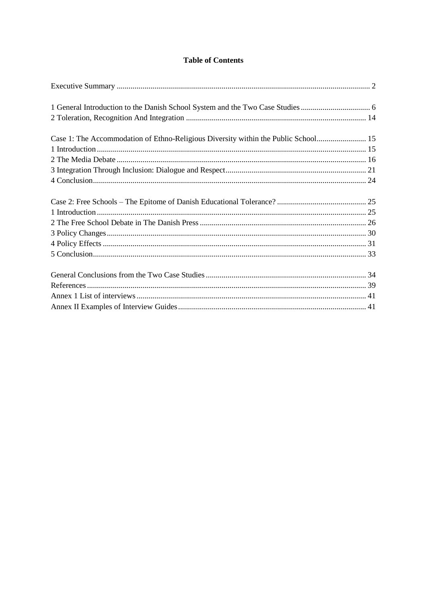# **Table of Contents**

| Case 1: The Accommodation of Ethno-Religious Diversity within the Public School 15 |  |
|------------------------------------------------------------------------------------|--|
|                                                                                    |  |
|                                                                                    |  |
|                                                                                    |  |
|                                                                                    |  |
|                                                                                    |  |
|                                                                                    |  |
|                                                                                    |  |
|                                                                                    |  |
|                                                                                    |  |
|                                                                                    |  |
|                                                                                    |  |
|                                                                                    |  |
|                                                                                    |  |
|                                                                                    |  |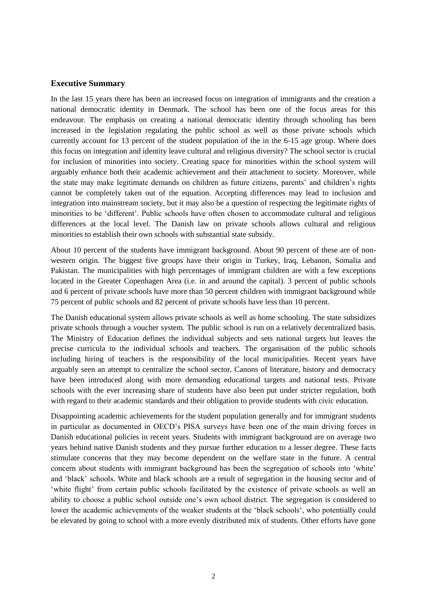#### <span id="page-7-0"></span>**Executive Summary**

In the last 15 years there has been an increased focus on integration of immigrants and the creation a national democratic identity in Denmark. The school has been one of the focus areas for this endeavour. The emphasis on creating a national democratic identity through schooling has been increased in the legislation regulating the public school as well as those private schools which currently account for 13 percent of the student population of the in the 6-15 age group. Where does this focus on integration and identity leave cultural and religious diversity? The school sector is crucial for inclusion of minorities into society. Creating space for minorities within the school system will arguably enhance both their academic achievement and their attachment to society. Moreover, while the state may make legitimate demands on children as future citizens, parents' and children's rights cannot be completely taken out of the equation. Accepting differences may lead to inclusion and integration into mainstream society, but it may also be a question of respecting the legitimate rights of minorities to be 'different'. Public schools have often chosen to accommodate cultural and religious differences at the local level. The Danish law on private schools allows cultural and religious minorities to establish their own schools with substantial state subsidy.

About 10 percent of the students have immigrant background. About 90 percent of these are of nonwestern origin. The biggest five groups have their origin in Turkey, Iraq, Lebanon, Somalia and Pakistan. The municipalities with high percentages of immigrant children are with a few exceptions located in the Greater Copenhagen Area (i.e. in and around the capital). 3 percent of public schools and 6 percent of private schools have more than 50 percent children with immigrant background while 75 percent of public schools and 82 percent of private schools have less than 10 percent.

The Danish educational system allows private schools as well as home schooling. The state subsidizes private schools through a voucher system. The public school is run on a relatively decentralized basis. The Ministry of Education defines the individual subjects and sets national targets but leaves the precise curricula to the individual schools and teachers. The organisation of the public schools including hiring of teachers is the responsibility of the local municipalities. Recent years have arguably seen an attempt to centralize the school sector. Canons of literature, history and democracy have been introduced along with more demanding educational targets and national tests. Private schools with the ever increasing share of students have also been put under stricter regulation, both with regard to their academic standards and their obligation to provide students with civic education.

Disappointing academic achievements for the student population generally and for immigrant students in particular as documented in OECD's PISA surveys have been one of the main driving forces in Danish educational policies in recent years. Students with immigrant background are on average two years behind native Danish students and they pursue further education to a lesser degree. These facts stimulate concerns that they may become dependent on the welfare state in the future. A central concern about students with immigrant background has been the segregation of schools into 'white' and 'black' schools. White and black schools are a result of segregation in the housing sector and of 'white flight' from certain public schools facilitated by the existence of private schools as well an ability to choose a public school outside one's own school district. The segregation is considered to lower the academic achievements of the weaker students at the 'black schools', who potentially could be elevated by going to school with a more evenly distributed mix of students. Other efforts have gone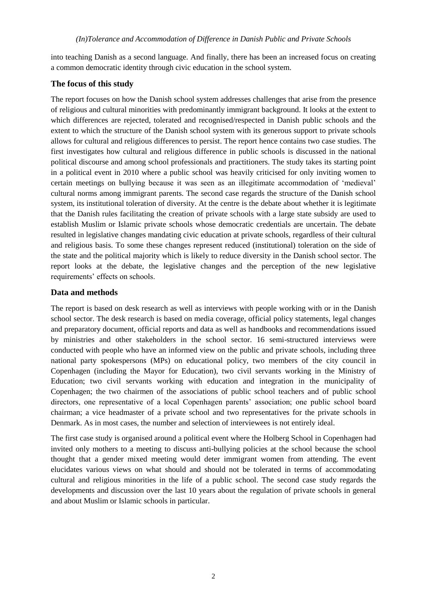into teaching Danish as a second language. And finally, there has been an increased focus on creating a common democratic identity through civic education in the school system.

## **The focus of this study**

The report focuses on how the Danish school system addresses challenges that arise from the presence of religious and cultural minorities with predominantly immigrant background. It looks at the extent to which differences are rejected, tolerated and recognised/respected in Danish public schools and the extent to which the structure of the Danish school system with its generous support to private schools allows for cultural and religious differences to persist. The report hence contains two case studies. The first investigates how cultural and religious difference in public schools is discussed in the national political discourse and among school professionals and practitioners. The study takes its starting point in a political event in 2010 where a public school was heavily criticised for only inviting women to certain meetings on bullying because it was seen as an illegitimate accommodation of 'medieval' cultural norms among immigrant parents. The second case regards the structure of the Danish school system, its institutional toleration of diversity. At the centre is the debate about whether it is legitimate that the Danish rules facilitating the creation of private schools with a large state subsidy are used to establish Muslim or Islamic private schools whose democratic credentials are uncertain. The debate resulted in legislative changes mandating civic education at private schools, regardless of their cultural and religious basis. To some these changes represent reduced (institutional) toleration on the side of the state and the political majority which is likely to reduce diversity in the Danish school sector. The report looks at the debate, the legislative changes and the perception of the new legislative requirements' effects on schools.

## **Data and methods**

The report is based on desk research as well as interviews with people working with or in the Danish school sector. The desk research is based on media coverage, official policy statements, legal changes and preparatory document, official reports and data as well as handbooks and recommendations issued by ministries and other stakeholders in the school sector. 16 semi-structured interviews were conducted with people who have an informed view on the public and private schools, including three national party spokespersons (MPs) on educational policy, two members of the city council in Copenhagen (including the Mayor for Education), two civil servants working in the Ministry of Education; two civil servants working with education and integration in the municipality of Copenhagen; the two chairmen of the associations of public school teachers and of public school directors, one representative of a local Copenhagen parents' association; one public school board chairman; a vice headmaster of a private school and two representatives for the private schools in Denmark. As in most cases, the number and selection of interviewees is not entirely ideal.

The first case study is organised around a political event where the Holberg School in Copenhagen had invited only mothers to a meeting to discuss anti-bullying policies at the school because the school thought that a gender mixed meeting would deter immigrant women from attending. The event elucidates various views on what should and should not be tolerated in terms of accommodating cultural and religious minorities in the life of a public school. The second case study regards the developments and discussion over the last 10 years about the regulation of private schools in general and about Muslim or Islamic schools in particular.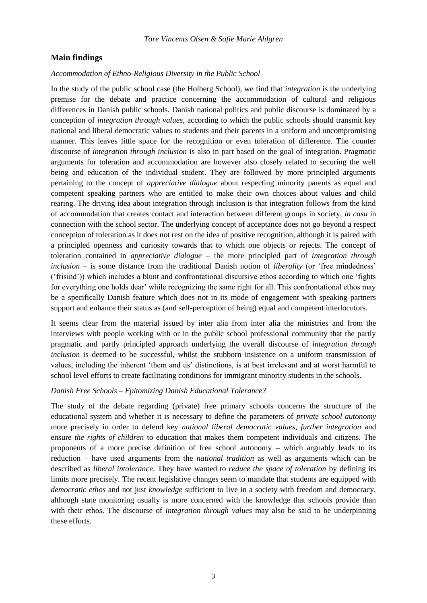#### **Main findings**

#### *Accommodation of Ethno-Religious Diversity in the Public School*

In the study of the public school case (the Holberg School), we find that *integration* is the underlying premise for the debate and practice concerning the accommodation of cultural and religious differences in Danish public schools. Danish national politics and public discourse is dominated by a conception of *integration through values*, according to which the public schools should transmit key national and liberal democratic values to students and their parents in a uniform and uncompromising manner. This leaves little space for the recognition or even toleration of difference. The counter discourse of *integration through inclusion* is also in part based on the goal of integration. Pragmatic arguments for toleration and accommodation are however also closely related to securing the well being and education of the individual student. They are followed by more principled arguments pertaining to the concept of *appreciative dialogue* about respecting minority parents as equal and competent speaking partners who are entitled to make their own choices about values and child rearing. The driving idea about integration through inclusion is that integration follows from the kind of accommodation that creates contact and interaction between different groups in society, *in casu* in connection with the school sector. The underlying concept of acceptance does not go beyond a respect conception of toleration as it does not rest on the idea of positive recognition, although it is paired with a principled openness and curiosity towards that to which one objects or rejects. The concept of toleration contained in *appreciative dialogue* – the more principled part of *integration through inclusion* – is some distance from the traditional Danish notion of *liberality* (or 'free mindedness' ('frisind')) which includes a blunt and confrontational discursive ethos according to which one 'fights for everything one holds dear' while recognizing the same right for all. This confrontational ethos may be a specifically Danish feature which does not in its mode of engagement with speaking partners support and enhance their status as (and self-perception of being) equal and competent interlocutors.

It seems clear from the material issued by inter alia from inter alia the ministries and from the interviews with people working with or in the public school professional community that the partly pragmatic and partly principled approach underlying the overall discourse of *integration through inclusion* is deemed to be successful, whilst the stubborn insistence on a uniform transmission of values, including the inherent 'them and us' distinctions, is at best irrelevant and at worst harmful to school level efforts to create facilitating conditions for immigrant minority students in the schools.

# *Danish Free Schools – Epitomizing Danish Educational Tolerance?*

The study of the debate regarding (private) free primary schools concerns the structure of the educational system and whether it is necessary to define the parameters of *private school autonomy* more precisely in order to defend key *national liberal democratic values*, *further integration* and ensure *the rights of children* to education that makes them competent individuals and citizens. The proponents of a more precise definition of free school autonomy – which arguably leads to its reduction – have used arguments from the *national tradition* as well as arguments which can be described as *liberal intolerance*. They have wanted to *reduce the space of toleration* by defining its limits more precisely. The recent legislative changes seem to mandate that students are equipped with *democratic ethos* and not just *knowledge* sufficient to live in a society with freedom and democracy, although state monitoring usually is more concerned with the knowledge that schools provide than with their ethos. The discourse of *integration through values* may also be said to be underpinning these efforts.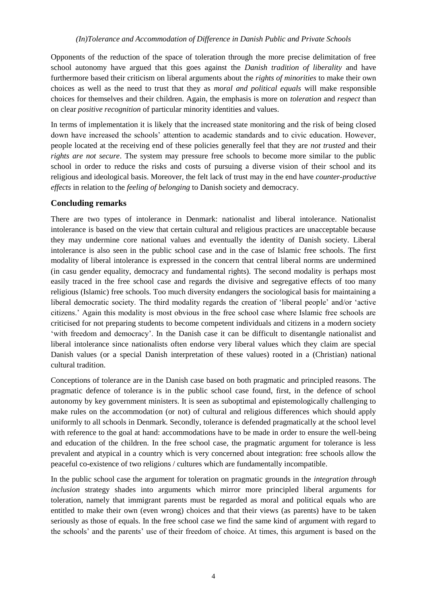Opponents of the reduction of the space of toleration through the more precise delimitation of free school autonomy have argued that this goes against the *Danish tradition of liberality* and have furthermore based their criticism on liberal arguments about the *rights of minorities* to make their own choices as well as the need to trust that they as *moral and political equals* will make responsible choices for themselves and their children. Again, the emphasis is more on *toleration* and *respect* than on clear *positive recognition* of particular minority identities and values.

In terms of implementation it is likely that the increased state monitoring and the risk of being closed down have increased the schools' attention to academic standards and to civic education. However, people located at the receiving end of these policies generally feel that they are *not trusted* and their *rights are not secure*. The system may pressure free schools to become more similar to the public school in order to reduce the risks and costs of pursuing a diverse vision of their school and its religious and ideological basis. Moreover, the felt lack of trust may in the end have *counter-productive effects* in relation to the *feeling of belonging* to Danish society and democracy.

# **Concluding remarks**

There are two types of intolerance in Denmark: nationalist and liberal intolerance. Nationalist intolerance is based on the view that certain cultural and religious practices are unacceptable because they may undermine core national values and eventually the identity of Danish society. Liberal intolerance is also seen in the public school case and in the case of Islamic free schools. The first modality of liberal intolerance is expressed in the concern that central liberal norms are undermined (in casu gender equality, democracy and fundamental rights). The second modality is perhaps most easily traced in the free school case and regards the divisive and segregative effects of too many religious (Islamic) free schools. Too much diversity endangers the sociological basis for maintaining a liberal democratic society. The third modality regards the creation of 'liberal people' and/or 'active citizens.' Again this modality is most obvious in the free school case where Islamic free schools are criticised for not preparing students to become competent individuals and citizens in a modern society 'with freedom and democracy'. In the Danish case it can be difficult to disentangle nationalist and liberal intolerance since nationalists often endorse very liberal values which they claim are special Danish values (or a special Danish interpretation of these values) rooted in a (Christian) national cultural tradition.

Conceptions of tolerance are in the Danish case based on both pragmatic and principled reasons. The pragmatic defence of tolerance is in the public school case found, first, in the defence of school autonomy by key government ministers. It is seen as suboptimal and epistemologically challenging to make rules on the accommodation (or not) of cultural and religious differences which should apply uniformly to all schools in Denmark. Secondly, tolerance is defended pragmatically at the school level with reference to the goal at hand: accommodations have to be made in order to ensure the well-being and education of the children. In the free school case, the pragmatic argument for tolerance is less prevalent and atypical in a country which is very concerned about integration: free schools allow the peaceful co-existence of two religions / cultures which are fundamentally incompatible.

In the public school case the argument for toleration on pragmatic grounds in the *integration through inclusion* strategy shades into arguments which mirror more principled liberal arguments for toleration, namely that immigrant parents must be regarded as moral and political equals who are entitled to make their own (even wrong) choices and that their views (as parents) have to be taken seriously as those of equals. In the free school case we find the same kind of argument with regard to the schools' and the parents' use of their freedom of choice. At times, this argument is based on the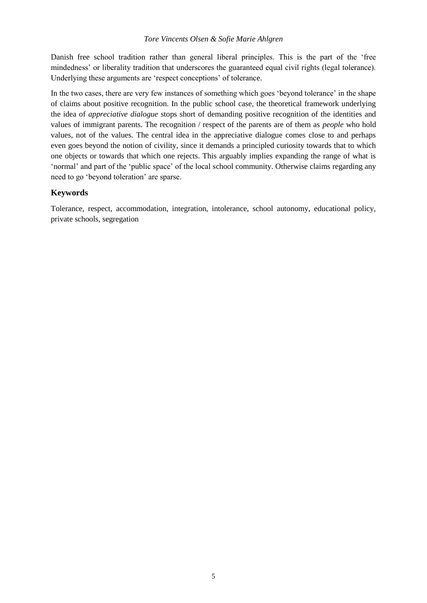Danish free school tradition rather than general liberal principles. This is the part of the 'free mindedness' or liberality tradition that underscores the guaranteed equal civil rights (legal tolerance). Underlying these arguments are 'respect conceptions' of tolerance.

In the two cases, there are very few instances of something which goes 'beyond tolerance' in the shape of claims about positive recognition. In the public school case, the theoretical framework underlying the idea of *appreciative dialogue* stops short of demanding positive recognition of the identities and values of immigrant parents. The recognition / respect of the parents are of them as *people* who hold values, not of the values. The central idea in the appreciative dialogue comes close to and perhaps even goes beyond the notion of civility, since it demands a principled curiosity towards that to which one objects or towards that which one rejects. This arguably implies expanding the range of what is 'normal' and part of the 'public space' of the local school community. Otherwise claims regarding any need to go 'beyond toleration' are sparse.

# **Keywords**

Tolerance, respect, accommodation, integration, intolerance, school autonomy, educational policy, private schools, segregation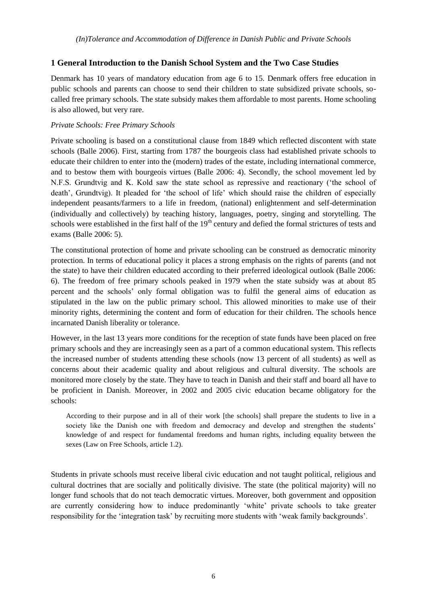# <span id="page-12-0"></span>**1 General Introduction to the Danish School System and the Two Case Studies**

Denmark has 10 years of mandatory education from age 6 to 15. Denmark offers free education in public schools and parents can choose to send their children to state subsidized private schools, socalled free primary schools. The state subsidy makes them affordable to most parents. Home schooling is also allowed, but very rare.

## *Private Schools: Free Primary Schools*

Private schooling is based on a constitutional clause from 1849 which reflected discontent with state schools (Balle 2006). First, starting from 1787 the bourgeois class had established private schools to educate their children to enter into the (modern) trades of the estate, including international commerce, and to bestow them with bourgeois virtues (Balle 2006: 4). Secondly, the school movement led by N.F.S. Grundtvig and K. Kold saw the state school as repressive and reactionary ('the school of death', Grundtvig). It pleaded for 'the school of life' which should raise the children of especially independent peasants/farmers to a life in freedom, (national) enlightenment and self-determination (individually and collectively) by teaching history, languages, poetry, singing and storytelling. The schools were established in the first half of the  $19<sup>th</sup>$  century and defied the formal strictures of tests and exams (Balle 2006: 5).

The constitutional protection of home and private schooling can be construed as democratic minority protection. In terms of educational policy it places a strong emphasis on the rights of parents (and not the state) to have their children educated according to their preferred ideological outlook (Balle 2006: 6). The freedom of free primary schools peaked in 1979 when the state subsidy was at about 85 percent and the schools' only formal obligation was to fulfil the general aims of education as stipulated in the law on the public primary school. This allowed minorities to make use of their minority rights, determining the content and form of education for their children. The schools hence incarnated Danish liberality or tolerance.

However, in the last 13 years more conditions for the reception of state funds have been placed on free primary schools and they are increasingly seen as a part of a common educational system. This reflects the increased number of students attending these schools (now 13 percent of all students) as well as concerns about their academic quality and about religious and cultural diversity. The schools are monitored more closely by the state. They have to teach in Danish and their staff and board all have to be proficient in Danish. Moreover, in 2002 and 2005 civic education became obligatory for the schools:

According to their purpose and in all of their work [the schools] shall prepare the students to live in a society like the Danish one with freedom and democracy and develop and strengthen the students' knowledge of and respect for fundamental freedoms and human rights, including equality between the sexes (Law on Free Schools, article 1.2).

Students in private schools must receive liberal civic education and not taught political, religious and cultural doctrines that are socially and politically divisive. The state (the political majority) will no longer fund schools that do not teach democratic virtues. Moreover, both government and opposition are currently considering how to induce predominantly 'white' private schools to take greater responsibility for the 'integration task' by recruiting more students with 'weak family backgrounds'.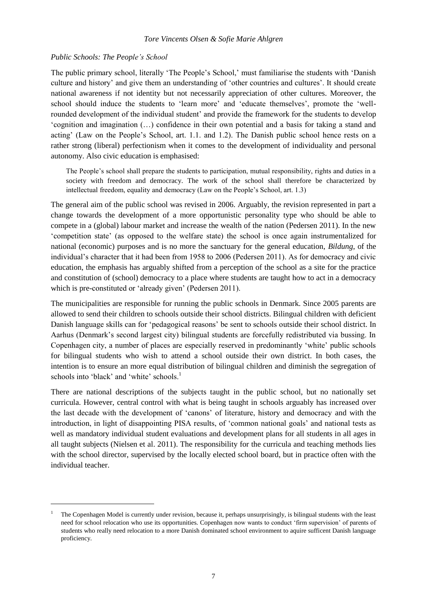#### *Public Schools: The People's School*

 $\overline{a}$ 

The public primary school, literally 'The People's School,' must familiarise the students with 'Danish culture and history' and give them an understanding of 'other countries and cultures'. It should create national awareness if not identity but not necessarily appreciation of other cultures. Moreover, the school should induce the students to 'learn more' and 'educate themselves', promote the 'wellrounded development of the individual student' and provide the framework for the students to develop 'cognition and imagination (…) confidence in their own potential and a basis for taking a stand and acting' (Law on the People's School, art. 1.1. and 1.2). The Danish public school hence rests on a rather strong (liberal) perfectionism when it comes to the development of individuality and personal autonomy. Also civic education is emphasised:

The People's school shall prepare the students to participation, mutual responsibility, rights and duties in a society with freedom and democracy. The work of the school shall therefore be characterized by intellectual freedom, equality and democracy (Law on the People's School, art. 1.3)

The general aim of the public school was revised in 2006. Arguably, the revision represented in part a change towards the development of a more opportunistic personality type who should be able to compete in a (global) labour market and increase the wealth of the nation (Pedersen 2011). In the new 'competition state' (as opposed to the welfare state) the school is once again instrumentalized for national (economic) purposes and is no more the sanctuary for the general education, *Bildung*, of the individual's character that it had been from 1958 to 2006 (Pedersen 2011). As for democracy and civic education, the emphasis has arguably shifted from a perception of the school as a site for the practice and constitution of (school) democracy to a place where students are taught how to act in a democracy which is pre-constituted or 'already given' (Pedersen 2011).

The municipalities are responsible for running the public schools in Denmark. Since 2005 parents are allowed to send their children to schools outside their school districts. Bilingual children with deficient Danish language skills can for 'pedagogical reasons' be sent to schools outside their school district. In Aarhus (Denmark's second largest city) bilingual students are forcefully redistributed via bussing. In Copenhagen city, a number of places are especially reserved in predominantly 'white' public schools for bilingual students who wish to attend a school outside their own district. In both cases, the intention is to ensure an more equal distribution of bilingual children and diminish the segregation of schools into 'black' and 'white' schools.<sup>1</sup>

There are national descriptions of the subjects taught in the public school, but no nationally set curricula. However, central control with what is being taught in schools arguably has increased over the last decade with the development of 'canons' of literature, history and democracy and with the introduction, in light of disappointing PISA results, of 'common national goals' and national tests as well as mandatory individual student evaluations and development plans for all students in all ages in all taught subjects (Nielsen et al. 2011). The responsibility for the curricula and teaching methods lies with the school director, supervised by the locally elected school board, but in practice often with the individual teacher.

<sup>1</sup> The Copenhagen Model is currently under revision, because it, perhaps unsurprisingly, is bilingual students with the least need for school relocation who use its opportunities. Copenhagen now wants to conduct 'firm supervision' of parents of students who really need relocation to a more Danish dominated school environment to aquire sufficent Danish language proficiency.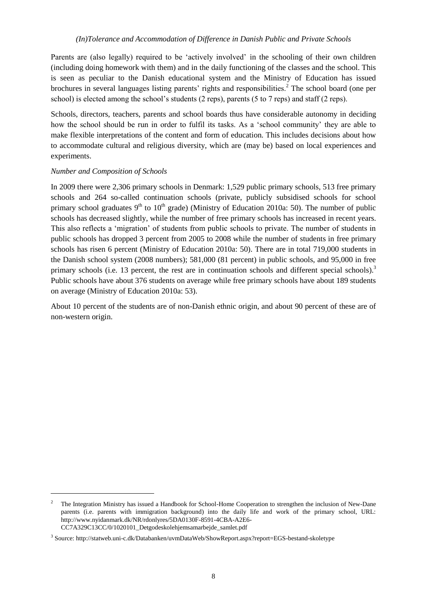Parents are (also legally) required to be 'actively involved' in the schooling of their own children (including doing homework with them) and in the daily functioning of the classes and the school. This is seen as peculiar to the Danish educational system and the Ministry of Education has issued brochures in several languages listing parents' rights and responsibilities.<sup>2</sup> The school board (one per school) is elected among the school's students (2 reps), parents (5 to 7 reps) and staff (2 reps).

Schools, directors, teachers, parents and school boards thus have considerable autonomy in deciding how the school should be run in order to fulfil its tasks. As a 'school community' they are able to make flexible interpretations of the content and form of education. This includes decisions about how to accommodate cultural and religious diversity, which are (may be) based on local experiences and experiments.

# *Number and Composition of Schools*

 $\overline{a}$ 

In 2009 there were 2,306 primary schools in Denmark: 1,529 public primary schools, 513 free primary schools and 264 so-called continuation schools (private, publicly subsidised schools for school primary school graduates  $9<sup>th</sup>$  to  $10<sup>th</sup>$  grade) (Ministry of Education 2010a: 50). The number of public schools has decreased slightly, while the number of free primary schools has increased in recent years. This also reflects a 'migration' of students from public schools to private. The number of students in public schools has dropped 3 percent from 2005 to 2008 while the number of students in free primary schools has risen 6 percent (Ministry of Education 2010a: 50). There are in total 719,000 students in the Danish school system (2008 numbers); 581,000 (81 percent) in public schools, and 95,000 in free primary schools (i.e. 13 percent, the rest are in continuation schools and different special schools).<sup>3</sup> Public schools have about 376 students on average while free primary schools have about 189 students on average (Ministry of Education 2010a: 53).

About 10 percent of the students are of non-Danish ethnic origin, and about 90 percent of these are of non-western origin.

<sup>2</sup> The Integration Ministry has issued a Handbook for School-Home Cooperation to strengthen the inclusion of New-Dane parents (i.e. parents with immigration background) into the daily life and work of the primary school, URL: http://www.nyidanmark.dk/NR/rdonlyres/5DA0130F-8591-4CBA-A2E6- CC7A329C13CC/0/1020101\_Detgodeskolehjemsamarbejde\_samlet.pdf

<sup>3</sup> Source: http://statweb.uni-c.dk/Databanken/uvmDataWeb/ShowReport.aspx?report=EGS-bestand-skoletype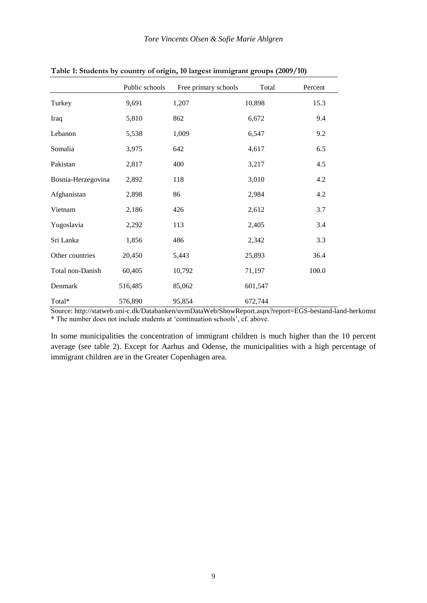|                    | Public schools | Free primary schools | Total   | Percent |
|--------------------|----------------|----------------------|---------|---------|
| Turkey             | 9,691          | 1,207                | 10,898  | 15.3    |
| Iraq               | 5,810          | 862                  | 6,672   | 9.4     |
| Lebanon            | 5,538          | 1,009                | 6,547   | 9.2     |
| Somalia            | 3,975          | 642                  | 4,617   | 6.5     |
| Pakistan           | 2,817          | 400                  | 3,217   | 4.5     |
| Bosnia-Herzegovina | 2,892          | 118                  | 3,010   | 4.2     |
| Afghanistan        | 2,898          | 86                   | 2,984   | 4.2     |
| Vietnam            | 2,186          | 426                  | 2,612   | 3.7     |
| Yugoslavia         | 2,292          | 113                  | 2,405   | 3.4     |
| Sri Lanka          | 1,856          | 486                  | 2,342   | 3.3     |
| Other countries    | 20,450         | 5,443                | 25,893  | 36.4    |
| Total non-Danish   | 60,405         | 10,792               | 71,197  | 100.0   |
| Denmark            | 516,485        | 85,062               | 601,547 |         |
| Total*             | 576,890        | 95,854               | 672,744 |         |

**Table 1: Students by country of origin, 10 largest immigrant groups (2009/10)**

Source:<http://statweb.uni-c.dk/Databanken/uvmDataWeb/ShowReport.aspx?report=EGS-bestand-land-herkomst> \* The number does not include students at 'continuation schools', cf. above.

In some municipalities the concentration of immigrant children is much higher than the 10 percent average (see table 2). Except for Aarhus and Odense, the municipalities with a high percentage of immigrant children are in the Greater Copenhagen area.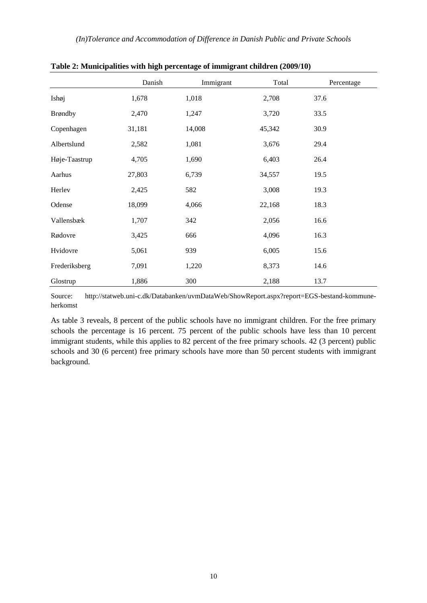|               | Danish | Immigrant | Total  | Percentage |
|---------------|--------|-----------|--------|------------|
| Ishøj         | 1,678  | 1,018     | 2,708  | 37.6       |
| Brøndby       | 2,470  | 1,247     | 3,720  | 33.5       |
| Copenhagen    | 31,181 | 14,008    | 45,342 | 30.9       |
| Albertslund   | 2,582  | 1,081     | 3,676  | 29.4       |
| Høje-Taastrup | 4,705  | 1,690     | 6,403  | 26.4       |
| Aarhus        | 27,803 | 6,739     | 34,557 | 19.5       |
| Herlev        | 2,425  | 582       | 3,008  | 19.3       |
| Odense        | 18,099 | 4,066     | 22,168 | 18.3       |
| Vallensbæk    | 1,707  | 342       | 2,056  | 16.6       |
| Rødovre       | 3,425  | 666       | 4,096  | 16.3       |
| Hvidovre      | 5,061  | 939       | 6,005  | 15.6       |
| Frederiksberg | 7,091  | 1,220     | 8,373  | 14.6       |
| Glostrup      | 1,886  | 300       | 2,188  | 13.7       |

**Table 2: Municipalities with high percentage of immigrant children (2009/10)**

Source: [http://statweb.uni-c.dk/Databanken/uvmDataWeb/ShowReport.aspx?report=EGS-bestand-kommune](http://statweb.uni-c.dk/Databanken/uvmDataWeb/ShowReport.aspx?report=EGS-bestand-kommune-herkomst)[herkomst](http://statweb.uni-c.dk/Databanken/uvmDataWeb/ShowReport.aspx?report=EGS-bestand-kommune-herkomst)

As table 3 reveals, 8 percent of the public schools have no immigrant children. For the free primary schools the percentage is 16 percent. 75 percent of the public schools have less than 10 percent immigrant students, while this applies to 82 percent of the free primary schools. 42 (3 percent) public schools and 30 (6 percent) free primary schools have more than 50 percent students with immigrant background.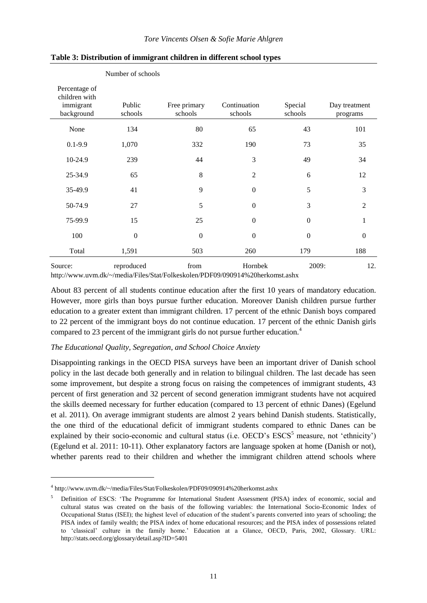|                                                           | Number of schools |                         |                         |                    |                           |
|-----------------------------------------------------------|-------------------|-------------------------|-------------------------|--------------------|---------------------------|
| Percentage of<br>children with<br>immigrant<br>background | Public<br>schools | Free primary<br>schools | Continuation<br>schools | Special<br>schools | Day treatment<br>programs |
| None                                                      | 134               | 80                      | 65                      | 43                 | 101                       |
| $0.1 - 9.9$                                               | 1,070             | 332                     | 190                     | 73                 | 35                        |
| 10-24.9                                                   | 239               | 44                      | 3                       | 49                 | 34                        |
| 25-34.9                                                   | 65                | 8                       | $\overline{2}$          | 6                  | 12                        |
| 35-49.9                                                   | 41                | 9                       | $\mathbf{0}$            | 5                  | 3                         |
| 50-74.9                                                   | 27                | 5                       | $\boldsymbol{0}$        | 3                  | $\overline{2}$            |
| 75-99.9                                                   | 15                | 25                      | $\boldsymbol{0}$        | $\mathbf{0}$       | 1                         |
| 100                                                       | $\boldsymbol{0}$  | $\boldsymbol{0}$        | $\boldsymbol{0}$        | $\mathbf{0}$       | $\mathbf{0}$              |
| Total                                                     | 1,591             | 503                     | 260                     | 179                | 188                       |
| Source:                                                   | reproduced        | from                    | Hornbek                 | 2009:              | 12.                       |

#### **Table 3: Distribution of immigrant children in different school types**

<http://www.uvm.dk/~/media/Files/Stat/Folkeskolen/PDF09/090914%20herkomst.ashx>

About 83 percent of all students continue education after the first 10 years of mandatory education. However, more girls than boys pursue further education. Moreover Danish children pursue further education to a greater extent than immigrant children. 17 percent of the ethnic Danish boys compared to 22 percent of the immigrant boys do not continue education. 17 percent of the ethnic Danish girls compared to 23 percent of the immigrant girls do not pursue further education.<sup>4</sup>

#### *The Educational Quality, Segregation, and School Choice Anxiety*

Disappointing rankings in the OECD PISA surveys have been an important driver of Danish school policy in the last decade both generally and in relation to bilingual children. The last decade has seen some improvement, but despite a strong focus on raising the competences of immigrant students, 43 percent of first generation and 32 percent of second generation immigrant students have not acquired the skills deemed necessary for further education (compared to 13 percent of ethnic Danes) (Egelund et al. 2011). On average immigrant students are almost 2 years behind Danish students. Statistically, the one third of the educational deficit of immigrant students compared to ethnic Danes can be explained by their socio-economic and cultural status (i.e.  $OECD$ 's  $ESCS<sup>5</sup>$  measure, not 'ethnicity') (Egelund et al. 2011: 10-11). Other explanatory factors are language spoken at home (Danish or not), whether parents read to their children and whether the immigrant children attend schools where

 $\overline{a}$ 

<sup>4</sup> http://www.uvm.dk/~/media/Files/Stat/Folkeskolen/PDF09/090914%20herkomst.ashx

<sup>5</sup> Definition of ESCS: 'The Programme for International Student Assessment (PISA) index of economic, social and cultural status was created on the basis of the following variables: the International Socio-Economic Index of Occupational Status (ISEI); the highest level of education of the student's parents converted into years of schooling; the PISA index of family wealth; the PISA index of home educational resources; and the PISA index of possessions related to 'classical' culture in the family home.' Education at a Glance, OECD, Paris, 2002, Glossary. URL: http://stats.oecd.org/glossary/detail.asp?ID=5401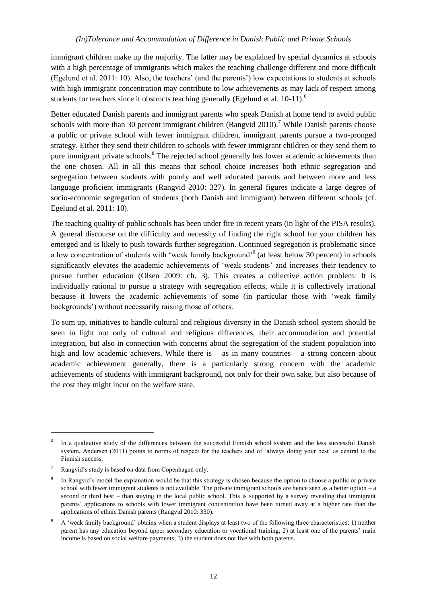immigrant children make up the majority. The latter may be explained by special dynamics at schools with a high percentage of immigrants which makes the teaching challenge different and more difficult (Egelund et al. 2011: 10). Also, the teachers' (and the parents') low expectations to students at schools with high immigrant concentration may contribute to low achievements as may lack of respect among students for teachers since it obstructs teaching generally (Egelund et al.  $10-11$ ).<sup>6</sup>

Better educated Danish parents and immigrant parents who speak Danish at home tend to avoid public schools with more than 30 percent immigrant children (Rangvid 2010).<sup>7</sup> While Danish parents choose a public or private school with fewer immigrant children, immigrant parents pursue a two-pronged strategy. Either they send their children to schools with fewer immigrant children or they send them to pure immigrant private schools.<sup>8</sup> The rejected school generally has lower academic achievements than the one chosen. All in all this means that school choice increases both ethnic segregation and segregation between students with poorly and well educated parents and between more and less language proficient immigrants (Rangvid 2010: 327). In general figures indicate a large degree of socio-economic segregation of students (both Danish and immigrant) between different schools (cf. Egelund et al. 2011: 10).

The teaching quality of public schools has been under fire in recent years (in light of the PISA results). A general discourse on the difficulty and necessity of finding the right school for your children has emerged and is likely to push towards further segregation. Continued segregation is problematic since a low concentration of students with 'weak family background'<sup>9</sup> (at least below 30 percent) in schools significantly elevates the academic achievements of 'weak students' and increases their tendency to pursue further education (Olsen 2009: ch. 3). This creates a collective action problem: It is individually rational to pursue a strategy with segregation effects, while it is collectively irrational because it lowers the academic achievements of some (in particular those with 'weak family backgrounds') without necessarily raising those of others.

To sum up, initiatives to handle cultural and religious diversity in the Danish school system should be seen in light not only of cultural and religious differences, their accommodation and potential integration, but also in connection with concerns about the segregation of the student population into high and low academic achievers. While there is – as in many countries – a strong concern about academic achievement generally, there is a particularly strong concern with the academic achievements of students with immigrant background, not only for their own sake, but also because of the cost they might incur on the welfare state.

 $\overline{a}$ 

<sup>6</sup> In a qualitative study of the differences between the successful Finnish school system and the less successful Danish system, Andersen (2011) points to norms of respect for the teachers and of 'always doing your best' as central to the Finnish success.

<sup>7</sup> Rangvid's study is based on data from Copenhagen only.

<sup>8</sup> In Rangvid's model the explanation would be that this strategy is chosen because the option to choose a public or private school with fewer immigrant students is not available. The private immigrant schools are hence seen as a better option – a second or third best – than staying in the local public school. This is supported by a survey revealing that immigrant parents' applications to schools with lower immigrant concentration have been turned away at a higher rate than the applications of ethnic Danish parents (Rangvid 2010: 330).

<sup>9</sup> A 'weak family background' obtains when a student displays at least two of the following three characteristics: 1) neither parent has any education beyond upper secondary education or vocational training; 2) at least one of the parents' main income is based on social welfare payments; 3) the student does not live with both parents.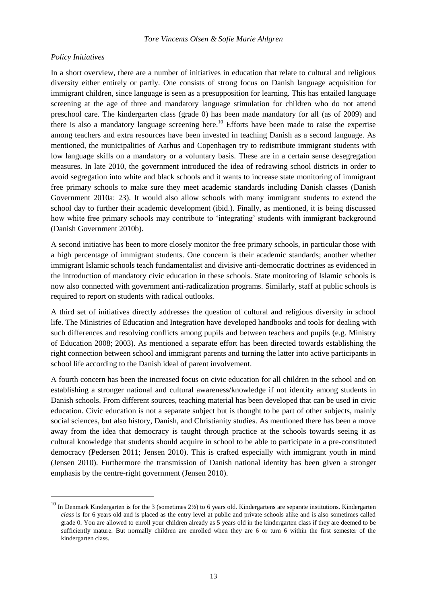#### *Policy Initiatives*

l

In a short overview, there are a number of initiatives in education that relate to cultural and religious diversity either entirely or partly. One consists of strong focus on Danish language acquisition for immigrant children, since language is seen as a presupposition for learning. This has entailed language screening at the age of three and mandatory language stimulation for children who do not attend preschool care. The kindergarten class (grade 0) has been made mandatory for all (as of 2009) and there is also a mandatory language screening here.<sup>10</sup> Efforts have been made to raise the expertise among teachers and extra resources have been invested in teaching Danish as a second language. As mentioned, the municipalities of Aarhus and Copenhagen try to redistribute immigrant students with low language skills on a mandatory or a voluntary basis. These are in a certain sense desegregation measures. In late 2010, the government introduced the idea of redrawing school districts in order to avoid segregation into white and black schools and it wants to increase state monitoring of immigrant free primary schools to make sure they meet academic standards including Danish classes (Danish Government 2010a: 23). It would also allow schools with many immigrant students to extend the school day to further their academic development (ibid.). Finally, as mentioned, it is being discussed how white free primary schools may contribute to 'integrating' students with immigrant background (Danish Government 2010b).

A second initiative has been to more closely monitor the free primary schools, in particular those with a high percentage of immigrant students. One concern is their academic standards; another whether immigrant Islamic schools teach fundamentalist and divisive anti-democratic doctrines as evidenced in the introduction of mandatory civic education in these schools. State monitoring of Islamic schools is now also connected with government anti-radicalization programs. Similarly, staff at public schools is required to report on students with radical outlooks.

A third set of initiatives directly addresses the question of cultural and religious diversity in school life. The Ministries of Education and Integration have developed handbooks and tools for dealing with such differences and resolving conflicts among pupils and between teachers and pupils (e.g. Ministry of Education 2008; 2003). As mentioned a separate effort has been directed towards establishing the right connection between school and immigrant parents and turning the latter into active participants in school life according to the Danish ideal of parent involvement.

A fourth concern has been the increased focus on civic education for all children in the school and on establishing a stronger national and cultural awareness/knowledge if not identity among students in Danish schools. From different sources, teaching material has been developed that can be used in civic education. Civic education is not a separate subject but is thought to be part of other subjects, mainly social sciences, but also history, Danish, and Christianity studies. As mentioned there has been a move away from the idea that democracy is taught through practice at the schools towards seeing it as cultural knowledge that students should acquire in school to be able to participate in a pre-constituted democracy (Pedersen 2011; Jensen 2010). This is crafted especially with immigrant youth in mind (Jensen 2010). Furthermore the transmission of Danish national identity has been given a stronger emphasis by the centre-right government (Jensen 2010).

 $10$  In Denmark Kindergarten is for the 3 (sometimes  $2\frac{1}{2}$ ) to 6 years old. Kindergartens are separate institutions. Kindergarten *class* is for 6 years old and is placed as the entry level at public and private schools alike and is also sometimes called grade 0. You are allowed to enroll your children already as 5 years old in the kindergarten class if they are deemed to be sufficiently mature. But normally children are enrolled when they are 6 or turn 6 within the first semester of the kindergarten class.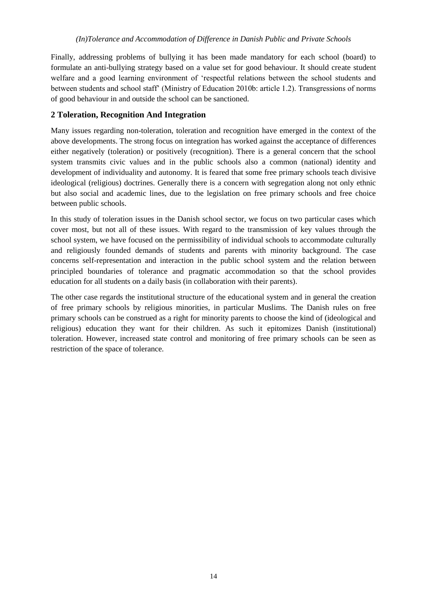Finally, addressing problems of bullying it has been made mandatory for each school (board) to formulate an anti-bullying strategy based on a value set for good behaviour. It should create student welfare and a good learning environment of 'respectful relations between the school students and between students and school staff' (Ministry of Education 2010b: article 1.2). Transgressions of norms of good behaviour in and outside the school can be sanctioned.

# <span id="page-20-0"></span>**2 Toleration, Recognition And Integration**

Many issues regarding non-toleration, toleration and recognition have emerged in the context of the above developments. The strong focus on integration has worked against the acceptance of differences either negatively (toleration) or positively (recognition). There is a general concern that the school system transmits civic values and in the public schools also a common (national) identity and development of individuality and autonomy. It is feared that some free primary schools teach divisive ideological (religious) doctrines. Generally there is a concern with segregation along not only ethnic but also social and academic lines, due to the legislation on free primary schools and free choice between public schools.

In this study of toleration issues in the Danish school sector, we focus on two particular cases which cover most, but not all of these issues. With regard to the transmission of key values through the school system, we have focused on the permissibility of individual schools to accommodate culturally and religiously founded demands of students and parents with minority background. The case concerns self-representation and interaction in the public school system and the relation between principled boundaries of tolerance and pragmatic accommodation so that the school provides education for all students on a daily basis (in collaboration with their parents).

The other case regards the institutional structure of the educational system and in general the creation of free primary schools by religious minorities, in particular Muslims. The Danish rules on free primary schools can be construed as a right for minority parents to choose the kind of (ideological and religious) education they want for their children. As such it epitomizes Danish (institutional) toleration. However, increased state control and monitoring of free primary schools can be seen as restriction of the space of tolerance.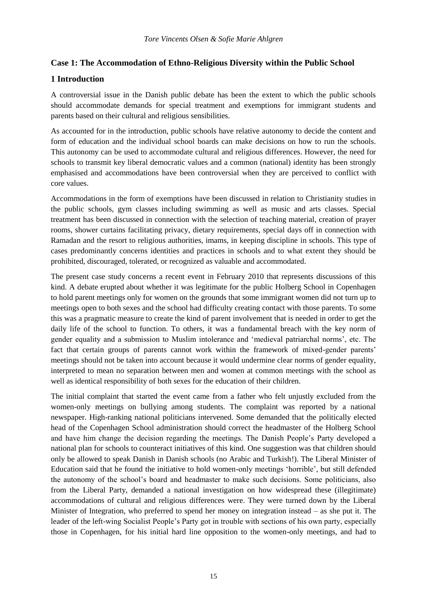## <span id="page-21-0"></span>**Case 1: The Accommodation of Ethno-Religious Diversity within the Public School**

# <span id="page-21-1"></span>**1 Introduction**

A controversial issue in the Danish public debate has been the extent to which the public schools should accommodate demands for special treatment and exemptions for immigrant students and parents based on their cultural and religious sensibilities.

As accounted for in the introduction, public schools have relative autonomy to decide the content and form of education and the individual school boards can make decisions on how to run the schools. This autonomy can be used to accommodate cultural and religious differences. However, the need for schools to transmit key liberal democratic values and a common (national) identity has been strongly emphasised and accommodations have been controversial when they are perceived to conflict with core values.

Accommodations in the form of exemptions have been discussed in relation to Christianity studies in the public schools, gym classes including swimming as well as music and arts classes. Special treatment has been discussed in connection with the selection of teaching material, creation of prayer rooms, shower curtains facilitating privacy, dietary requirements, special days off in connection with Ramadan and the resort to religious authorities, imams, in keeping discipline in schools. This type of cases predominantly concerns identities and practices in schools and to what extent they should be prohibited, discouraged, tolerated, or recognized as valuable and accommodated.

The present case study concerns a recent event in February 2010 that represents discussions of this kind. A debate erupted about whether it was legitimate for the public Holberg School in Copenhagen to hold parent meetings only for women on the grounds that some immigrant women did not turn up to meetings open to both sexes and the school had difficulty creating contact with those parents. To some this was a pragmatic measure to create the kind of parent involvement that is needed in order to get the daily life of the school to function. To others, it was a fundamental breach with the key norm of gender equality and a submission to Muslim intolerance and 'medieval patriarchal norms', etc. The fact that certain groups of parents cannot work within the framework of mixed-gender parents' meetings should not be taken into account because it would undermine clear norms of gender equality, interpreted to mean no separation between men and women at common meetings with the school as well as identical responsibility of both sexes for the education of their children.

The initial complaint that started the event came from a father who felt unjustly excluded from the women-only meetings on bullying among students. The complaint was reported by a national newspaper. High-ranking national politicians intervened. Some demanded that the politically elected head of the Copenhagen School administration should correct the headmaster of the Holberg School and have him change the decision regarding the meetings. The Danish People's Party developed a national plan for schools to counteract initiatives of this kind. One suggestion was that children should only be allowed to speak Danish in Danish schools (no Arabic and Turkish!). The Liberal Minister of Education said that he found the initiative to hold women-only meetings 'horrible', but still defended the autonomy of the school's board and headmaster to make such decisions. Some politicians, also from the Liberal Party, demanded a national investigation on how widespread these (illegitimate) accommodations of cultural and religious differences were. They were turned down by the Liberal Minister of Integration, who preferred to spend her money on integration instead – as she put it. The leader of the left-wing Socialist People's Party got in trouble with sections of his own party, especially those in Copenhagen, for his initial hard line opposition to the women-only meetings, and had to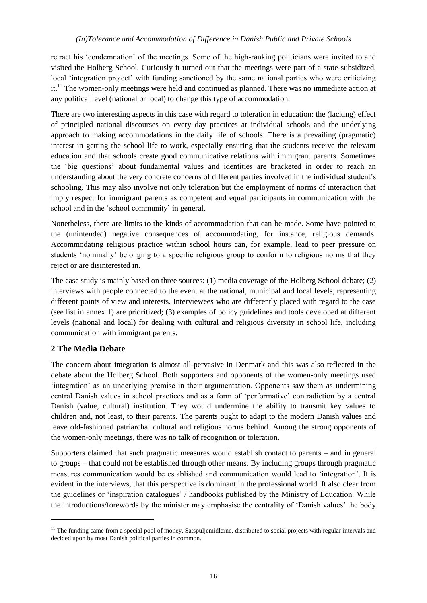## *(In)Tolerance and Accommodation of Difference in Danish Public and Private Schools*

retract his 'condemnation' of the meetings. Some of the high-ranking politicians were invited to and visited the Holberg School. Curiously it turned out that the meetings were part of a state-subsidized, local 'integration project' with funding sanctioned by the same national parties who were criticizing it.<sup>11</sup> The women-only meetings were held and continued as planned. There was no immediate action at any political level (national or local) to change this type of accommodation.

There are two interesting aspects in this case with regard to toleration in education: the (lacking) effect of principled national discourses on every day practices at individual schools and the underlying approach to making accommodations in the daily life of schools. There is a prevailing (pragmatic) interest in getting the school life to work, especially ensuring that the students receive the relevant education and that schools create good communicative relations with immigrant parents. Sometimes the 'big questions' about fundamental values and identities are bracketed in order to reach an understanding about the very concrete concerns of different parties involved in the individual student's schooling. This may also involve not only toleration but the employment of norms of interaction that imply respect for immigrant parents as competent and equal participants in communication with the school and in the 'school community' in general.

Nonetheless, there are limits to the kinds of accommodation that can be made. Some have pointed to the (unintended) negative consequences of accommodating, for instance, religious demands. Accommodating religious practice within school hours can, for example, lead to peer pressure on students 'nominally' belonging to a specific religious group to conform to religious norms that they reject or are disinterested in.

The case study is mainly based on three sources: (1) media coverage of the Holberg School debate; (2) interviews with people connected to the event at the national, municipal and local levels, representing different points of view and interests. Interviewees who are differently placed with regard to the case (see list in annex 1) are prioritized; (3) examples of policy guidelines and tools developed at different levels (national and local) for dealing with cultural and religious diversity in school life, including communication with immigrant parents.

## <span id="page-22-0"></span>**2 The Media Debate**

l

The concern about integration is almost all-pervasive in Denmark and this was also reflected in the debate about the Holberg School. Both supporters and opponents of the women-only meetings used 'integration' as an underlying premise in their argumentation. Opponents saw them as undermining central Danish values in school practices and as a form of 'performative' contradiction by a central Danish (value, cultural) institution. They would undermine the ability to transmit key values to children and, not least, to their parents. The parents ought to adapt to the modern Danish values and leave old-fashioned patriarchal cultural and religious norms behind. Among the strong opponents of the women-only meetings, there was no talk of recognition or toleration.

Supporters claimed that such pragmatic measures would establish contact to parents – and in general to groups – that could not be established through other means. By including groups through pragmatic measures communication would be established and communication would lead to 'integration'. It is evident in the interviews, that this perspective is dominant in the professional world. It also clear from the guidelines or 'inspiration catalogues' / handbooks published by the Ministry of Education. While the introductions/forewords by the minister may emphasise the centrality of 'Danish values' the body

 $11$  The funding came from a special pool of money, Satspuljemidlerne, distributed to social projects with regular intervals and decided upon by most Danish political parties in common.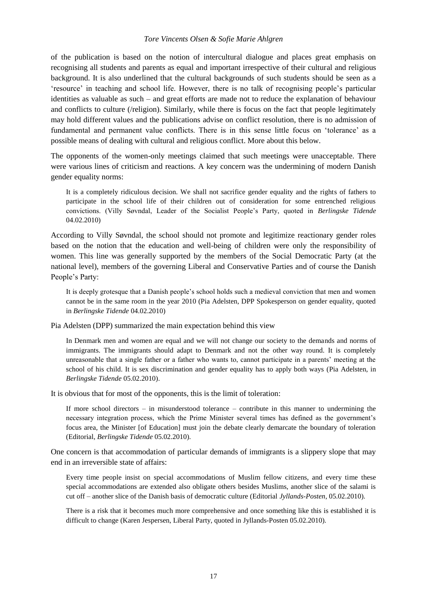#### *Tore Vincents Olsen & Sofie Marie Ahlgren*

of the publication is based on the notion of intercultural dialogue and places great emphasis on recognising all students and parents as equal and important irrespective of their cultural and religious background. It is also underlined that the cultural backgrounds of such students should be seen as a 'resource' in teaching and school life. However, there is no talk of recognising people's particular identities as valuable as such – and great efforts are made not to reduce the explanation of behaviour and conflicts to culture (/religion). Similarly, while there is focus on the fact that people legitimately may hold different values and the publications advise on conflict resolution, there is no admission of fundamental and permanent value conflicts. There is in this sense little focus on 'tolerance' as a possible means of dealing with cultural and religious conflict. More about this below.

The opponents of the women-only meetings claimed that such meetings were unacceptable. There were various lines of criticism and reactions. A key concern was the undermining of modern Danish gender equality norms:

It is a completely ridiculous decision. We shall not sacrifice gender equality and the rights of fathers to participate in the school life of their children out of consideration for some entrenched religious convictions. (Villy Søvndal, Leader of the Socialist People's Party, quoted in *Berlingske Tidende* 04.02.2010)

According to Villy Søvndal, the school should not promote and legitimize reactionary gender roles based on the notion that the education and well-being of children were only the responsibility of women. This line was generally supported by the members of the Social Democratic Party (at the national level), members of the governing Liberal and Conservative Parties and of course the Danish People's Party:

It is deeply grotesque that a Danish people's school holds such a medieval conviction that men and women cannot be in the same room in the year 2010 (Pia Adelsten, DPP Spokesperson on gender equality, quoted in *Berlingske Tidende* 04.02.2010)

Pia Adelsten (DPP) summarized the main expectation behind this view

In Denmark men and women are equal and we will not change our society to the demands and norms of immigrants. The immigrants should adapt to Denmark and not the other way round. It is completely unreasonable that a single father or a father who wants to, cannot participate in a parents' meeting at the school of his child. It is sex discrimination and gender equality has to apply both ways (Pia Adelsten, in *Berlingske Tidende* 05.02.2010).

It is obvious that for most of the opponents, this is the limit of toleration:

If more school directors – in misunderstood tolerance – contribute in this manner to undermining the necessary integration process, which the Prime Minister several times has defined as the government's focus area, the Minister [of Education] must join the debate clearly demarcate the boundary of toleration (Editorial, *Berlingske Tidende* 05.02.2010).

One concern is that accommodation of particular demands of immigrants is a slippery slope that may end in an irreversible state of affairs:

Every time people insist on special accommodations of Muslim fellow citizens, and every time these special accommodations are extended also obligate others besides Muslims, another slice of the salami is cut off – another slice of the Danish basis of democratic culture (Editorial *Jyllands-Posten*, 05.02.2010).

There is a risk that it becomes much more comprehensive and once something like this is established it is difficult to change (Karen Jespersen, Liberal Party, quoted in Jyllands-Posten 05.02.2010).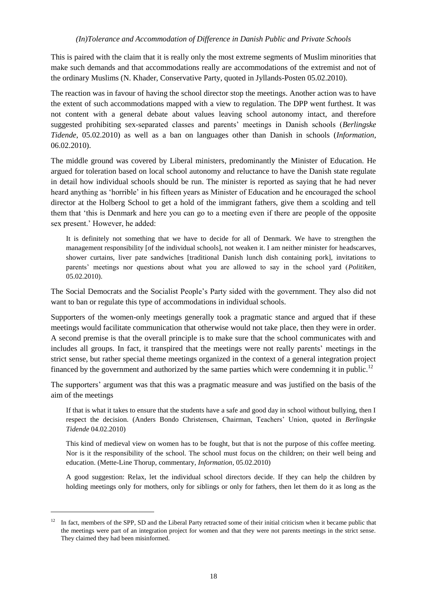This is paired with the claim that it is really only the most extreme segments of Muslim minorities that make such demands and that accommodations really are accommodations of the extremist and not of the ordinary Muslims (N. Khader, Conservative Party, quoted in Jyllands-Posten 05.02.2010).

The reaction was in favour of having the school director stop the meetings. Another action was to have the extent of such accommodations mapped with a view to regulation. The DPP went furthest. It was not content with a general debate about values leaving school autonomy intact, and therefore suggested prohibiting sex-separated classes and parents' meetings in Danish schools (*Berlingske Tidende*, 05.02.2010) as well as a ban on languages other than Danish in schools (*Information*, 06.02.2010).

The middle ground was covered by Liberal ministers, predominantly the Minister of Education. He argued for toleration based on local school autonomy and reluctance to have the Danish state regulate in detail how individual schools should be run. The minister is reported as saying that he had never heard anything as 'horrible' in his fifteen years as Minister of Education and he encouraged the school director at the Holberg School to get a hold of the immigrant fathers, give them a scolding and tell them that 'this is Denmark and here you can go to a meeting even if there are people of the opposite sex present.' However, he added:

It is definitely not something that we have to decide for all of Denmark. We have to strengthen the management responsibility [of the individual schools], not weaken it. I am neither minister for headscarves, shower curtains, liver pate sandwiches [traditional Danish lunch dish containing pork], invitations to parents' meetings nor questions about what you are allowed to say in the school yard (*Politiken*, 05.02.2010).

The Social Democrats and the Socialist People's Party sided with the government. They also did not want to ban or regulate this type of accommodations in individual schools.

Supporters of the women-only meetings generally took a pragmatic stance and argued that if these meetings would facilitate communication that otherwise would not take place, then they were in order. A second premise is that the overall principle is to make sure that the school communicates with and includes all groups. In fact, it transpired that the meetings were not really parents' meetings in the strict sense, but rather special theme meetings organized in the context of a general integration project financed by the government and authorized by the same parties which were condemning it in public.<sup>12</sup>

The supporters' argument was that this was a pragmatic measure and was justified on the basis of the aim of the meetings

If that is what it takes to ensure that the students have a safe and good day in school without bullying, then I respect the decision. (Anders Bondo Christensen, Chairman, Teachers' Union, quoted in *Berlingske Tidende* 04.02.2010)

This kind of medieval view on women has to be fought, but that is not the purpose of this coffee meeting. Nor is it the responsibility of the school. The school must focus on the children; on their well being and education. (Mette-Line Thorup, commentary, *Information*, 05.02.2010)

A good suggestion: Relax, let the individual school directors decide. If they can help the children by holding meetings only for mothers, only for siblings or only for fathers, then let them do it as long as the

 $\overline{a}$ 

 $12$  In fact, members of the SPP, SD and the Liberal Party retracted some of their initial criticism when it became public that the meetings were part of an integration project for women and that they were not parents meetings in the strict sense. They claimed they had been misinformed.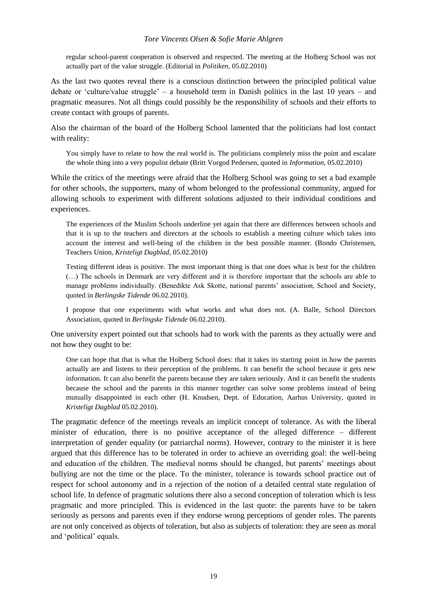#### *Tore Vincents Olsen & Sofie Marie Ahlgren*

regular school-parent cooperation is observed and respected. The meeting at the Holberg School was not actually part of the value struggle. (Editorial in *Politiken,* 05.02.2010)

As the last two quotes reveal there is a conscious distinction between the principled political value debate or 'culture/value struggle' – a household term in Danish politics in the last 10 years – and pragmatic measures. Not all things could possibly be the responsibility of schools and their efforts to create contact with groups of parents.

Also the chairman of the board of the Holberg School lamented that the politicians had lost contact with reality:

You simply have to relate to how the real world is. The politicians completely miss the point and escalate the whole thing into a very populist debate (Britt Vorgod Pedersen, quoted in *Information*, 05.02.2010)

While the critics of the meetings were afraid that the Holberg School was going to set a bad example for other schools, the supporters, many of whom belonged to the professional community, argued for allowing schools to experiment with different solutions adjusted to their individual conditions and experiences.

The experiences of the Muslim Schools underline yet again that there are differences between schools and that it is up to the teachers and directors at the schools to establish a meeting culture which takes into account the interest and well-being of the children in the best possible manner. (Bondo Christensen, Teachers Union, *Kristeligt Dagblad*, 05.02.2010)

Testing different ideas is positive. The most important thing is that one does what is best for the children (…) The schools in Denmark are very different and it is therefore important that the schools are able to manage problems individually. (Benedikte Ask Skotte, national parents' association, School and Society, quoted in *Berlingske Tidende* 06.02.2010).

I propose that one experiments with what works and what does not. (A. Balle, School Directors Association, quoted in *Berlingske Tidende* 06.02.2010).

One university expert pointed out that schools had to work with the parents as they actually were and not how they ought to be:

One can hope that that is what the Holberg School does: that it takes its starting point in how the parents actually are and listens to their perception of the problems. It can benefit the school because it gets new information. It can also benefit the parents because they are taken seriously. And it can benefit the students because the school and the parents in this manner together can solve some problems instead of being mutually disappointed in each other (H. Knudsen, Dept. of Education, Aarhus University, quoted in *Kristeligt Dagblad* 05.02.2010).

The pragmatic defence of the meetings reveals an implicit concept of tolerance. As with the liberal minister of education, there is no positive acceptance of the alleged difference – different interpretation of gender equality (or patriarchal norms). However, contrary to the minister it is here argued that this difference has to be tolerated in order to achieve an overriding goal: the well-being and education of the children. The medieval norms should be changed, but parents' meetings about bullying are not the time or the place. To the minister, tolerance is towards school practice out of respect for school autonomy and in a rejection of the notion of a detailed central state regulation of school life. In defence of pragmatic solutions there also a second conception of toleration which is less pragmatic and more principled. This is evidenced in the last quote: the parents have to be taken seriously as persons and parents even if they endorse wrong perceptions of gender roles. The parents are not only conceived as objects of toleration, but also as subjects of toleration: they are seen as moral and 'political' equals.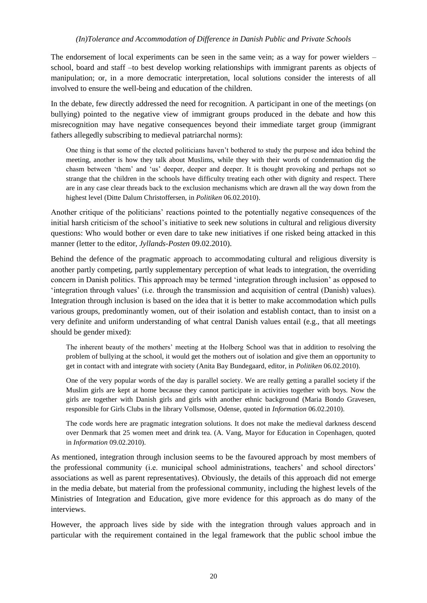The endorsement of local experiments can be seen in the same vein; as a way for power wielders – school, board and staff –to best develop working relationships with immigrant parents as objects of manipulation; or, in a more democratic interpretation, local solutions consider the interests of all involved to ensure the well-being and education of the children.

In the debate, few directly addressed the need for recognition. A participant in one of the meetings (on bullying) pointed to the negative view of immigrant groups produced in the debate and how this misrecognition may have negative consequences beyond their immediate target group (immigrant fathers allegedly subscribing to medieval patriarchal norms):

One thing is that some of the elected politicians haven't bothered to study the purpose and idea behind the meeting, another is how they talk about Muslims, while they with their words of condemnation dig the chasm between 'them' and 'us' deeper, deeper and deeper. It is thought provoking and perhaps not so strange that the children in the schools have difficulty treating each other with dignity and respect. There are in any case clear threads back to the exclusion mechanisms which are drawn all the way down from the highest level (Ditte Dalum Christoffersen, in *Politiken* 06.02.2010).

Another critique of the politicians' reactions pointed to the potentially negative consequences of the initial harsh criticism of the school's initiative to seek new solutions in cultural and religious diversity questions: Who would bother or even dare to take new initiatives if one risked being attacked in this manner (letter to the editor, *Jyllands-Posten* 09.02.2010).

Behind the defence of the pragmatic approach to accommodating cultural and religious diversity is another partly competing, partly supplementary perception of what leads to integration, the overriding concern in Danish politics. This approach may be termed 'integration through inclusion' as opposed to 'integration through values' (i.e. through the transmission and acquisition of central (Danish) values). Integration through inclusion is based on the idea that it is better to make accommodation which pulls various groups, predominantly women, out of their isolation and establish contact, than to insist on a very definite and uniform understanding of what central Danish values entail (e.g., that all meetings should be gender mixed):

The inherent beauty of the mothers' meeting at the Holberg School was that in addition to resolving the problem of bullying at the school, it would get the mothers out of isolation and give them an opportunity to get in contact with and integrate with society (Anita Bay Bundegaard, editor, in *Politiken* 06.02.2010).

One of the very popular words of the day is parallel society. We are really getting a parallel society if the Muslim girls are kept at home because they cannot participate in activities together with boys. Now the girls are together with Danish girls and girls with another ethnic background (Maria Bondo Gravesen, responsible for Girls Clubs in the library Vollsmose, Odense, quoted in *Information* 06.02.2010).

The code words here are pragmatic integration solutions. It does not make the medieval darkness descend over Denmark that 25 women meet and drink tea. (A. Vang, Mayor for Education in Copenhagen, quoted in *Information* 09.02.2010).

As mentioned, integration through inclusion seems to be the favoured approach by most members of the professional community (i.e. municipal school administrations, teachers' and school directors' associations as well as parent representatives). Obviously, the details of this approach did not emerge in the media debate, but material from the professional community, including the highest levels of the Ministries of Integration and Education, give more evidence for this approach as do many of the interviews.

However, the approach lives side by side with the integration through values approach and in particular with the requirement contained in the legal framework that the public school imbue the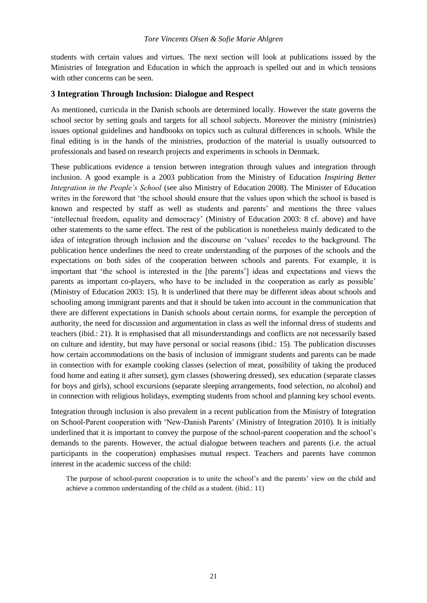students with certain values and virtues. The next section will look at publications issued by the Ministries of Integration and Education in which the approach is spelled out and in which tensions with other concerns can be seen.

## <span id="page-27-0"></span>**3 Integration Through Inclusion: Dialogue and Respect**

As mentioned, curricula in the Danish schools are determined locally. However the state governs the school sector by setting goals and targets for all school subjects. Moreover the ministry (ministries) issues optional guidelines and handbooks on topics such as cultural differences in schools. While the final editing is in the hands of the ministries, production of the material is usually outsourced to professionals and based on research projects and experiments in schools in Denmark.

These publications evidence a tension between integration through values and integration through inclusion. A good example is a 2003 publication from the Ministry of Education *Inspiring Better Integration in the People's School* (see also Ministry of Education 2008). The Minister of Education writes in the foreword that 'the school should ensure that the values upon which the school is based is known and respected by staff as well as students and parents' and mentions the three values 'intellectual freedom, equality and democracy' (Ministry of Education 2003: 8 cf. above) and have other statements to the same effect. The rest of the publication is nonetheless mainly dedicated to the idea of integration through inclusion and the discourse on 'values' recedes to the background. The publication hence underlines the need to create understanding of the purposes of the schools and the expectations on both sides of the cooperation between schools and parents. For example, it is important that 'the school is interested in the [the parents'] ideas and expectations and views the parents as important co-players, who have to be included in the cooperation as early as possible' (Ministry of Education 2003: 15). It is underlined that there may be different ideas about schools and schooling among immigrant parents and that it should be taken into account in the communication that there are different expectations in Danish schools about certain norms, for example the perception of authority, the need for discussion and argumentation in class as well the informal dress of students and teachers (ibid.: 21). It is emphasised that all misunderstandings and conflicts are not necessarily based on culture and identity, but may have personal or social reasons (ibid.: 15). The publication discusses how certain accommodations on the basis of inclusion of immigrant students and parents can be made in connection with for example cooking classes (selection of meat, possibility of taking the produced food home and eating it after sunset), gym classes (showering dressed), sex education (separate classes for boys and girls), school excursions (separate sleeping arrangements, food selection, no alcohol) and in connection with religious holidays, exempting students from school and planning key school events.

Integration through inclusion is also prevalent in a recent publication from the Ministry of Integration on School-Parent cooperation with 'New-Danish Parents' (Ministry of Integration 2010). It is initially underlined that it is important to convey the purpose of the school-parent cooperation and the school's demands to the parents. However, the actual dialogue between teachers and parents (i.e. the actual participants in the cooperation) emphasises mutual respect. Teachers and parents have common interest in the academic success of the child:

The purpose of school-parent cooperation is to unite the school's and the parents' view on the child and achieve a common understanding of the child as a student. (ibid.: 11)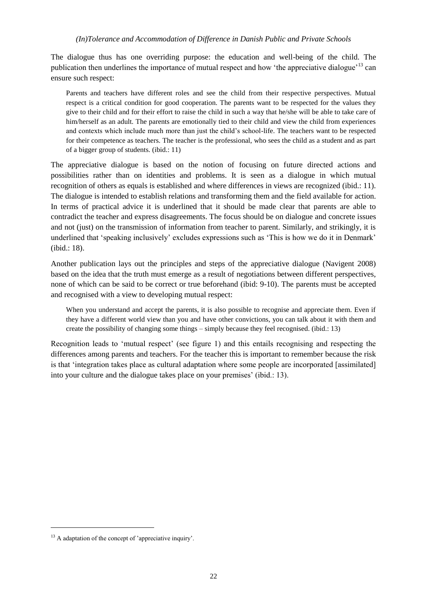The dialogue thus has one overriding purpose: the education and well-being of the child. The publication then underlines the importance of mutual respect and how 'the appreciative dialogue'<sup>13</sup> can ensure such respect:

Parents and teachers have different roles and see the child from their respective perspectives. Mutual respect is a critical condition for good cooperation. The parents want to be respected for the values they give to their child and for their effort to raise the child in such a way that he/she will be able to take care of him/herself as an adult. The parents are emotionally tied to their child and view the child from experiences and contexts which include much more than just the child's school-life. The teachers want to be respected for their competence as teachers. The teacher is the professional, who sees the child as a student and as part of a bigger group of students. (ibid.: 11)

The appreciative dialogue is based on the notion of focusing on future directed actions and possibilities rather than on identities and problems. It is seen as a dialogue in which mutual recognition of others as equals is established and where differences in views are recognized (ibid.: 11). The dialogue is intended to establish relations and transforming them and the field available for action. In terms of practical advice it is underlined that it should be made clear that parents are able to contradict the teacher and express disagreements. The focus should be on dialogue and concrete issues and not (just) on the transmission of information from teacher to parent. Similarly, and strikingly, it is underlined that 'speaking inclusively' excludes expressions such as 'This is how we do it in Denmark' (ibid.: 18).

Another publication lays out the principles and steps of the appreciative dialogue (Navigent 2008) based on the idea that the truth must emerge as a result of negotiations between different perspectives, none of which can be said to be correct or true beforehand (ibid: 9-10). The parents must be accepted and recognised with a view to developing mutual respect:

When you understand and accept the parents, it is also possible to recognise and appreciate them. Even if they have a different world view than you and have other convictions, you can talk about it with them and create the possibility of changing some things – simply because they feel recognised. (ibid.: 13)

Recognition leads to 'mutual respect' (see figure 1) and this entails recognising and respecting the differences among parents and teachers. For the teacher this is important to remember because the risk is that 'integration takes place as cultural adaptation where some people are incorporated [assimilated] into your culture and the dialogue takes place on your premises' (ibid.: 13).

 $\overline{a}$ 

<sup>&</sup>lt;sup>13</sup> A adaptation of the concept of 'appreciative inquiry'.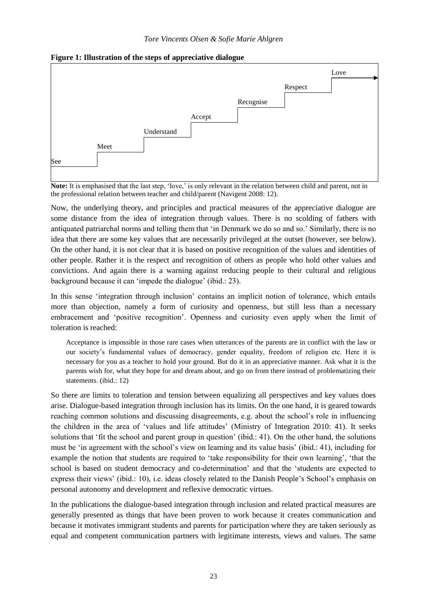

#### **Figure 1: Illustration of the steps of appreciative dialogue**

**Note:** It is emphasised that the last step, 'love,' is only relevant in the relation between child and parent, not in the professional relation between teacher and child/parent (Navigent 2008: 12).

Now, the underlying theory, and principles and practical measures of the appreciative dialogue are some distance from the idea of integration through values. There is no scolding of fathers with antiquated patriarchal norms and telling them that 'in Denmark we do so and so.' Similarly, there is no idea that there are some key values that are necessarily privileged at the outset (however, see below). On the other hand, it is not clear that it is based on positive recognition of the values and identities of other people. Rather it is the respect and recognition of others as people who hold other values and convictions. And again there is a warning against reducing people to their cultural and religious background because it can 'impede the dialogue' (ibid.: 23).

In this sense 'integration through inclusion' contains an implicit notion of tolerance, which entails more than objection, namely a form of curiosity and openness, but still less than a necessary embracement and 'positive recognition'. Openness and curiosity even apply when the limit of toleration is reached:

Acceptance is impossible in those rare cases when utterances of the parents are in conflict with the law or our society's fundamental values of democracy, gender equality, freedom of religion etc. Here it is necessary for you as a teacher to hold your ground. But do it in an appreciative manner. Ask what it is the parents wish for, what they hope for and dream about, and go on from there instead of problematizing their statements. (ibid.: 12)

So there are limits to toleration and tension between equalizing all perspectives and key values does arise. Dialogue-based integration through inclusion has its limits. On the one hand, it is geared towards reaching common solutions and discussing disagreements, e.g. about the school's role in influencing the children in the area of 'values and life attitudes' (Ministry of Integration 2010: 41). It seeks solutions that 'fit the school and parent group in question' (ibid.: 41). On the other hand, the solutions must be 'in agreement with the school's view on learning and its value basis' (ibid.: 41), including for example the notion that students are required to 'take responsibility for their own learning', 'that the school is based on student democracy and co-determination' and that the 'students are expected to express their views' (ibid.: 10), i.e. ideas closely related to the Danish People's School's emphasis on personal autonomy and development and reflexive democratic virtues.

In the publications the dialogue-based integration through inclusion and related practical measures are generally presented as things that have been proven to work because it creates communication and because it motivates immigrant students and parents for participation where they are taken seriously as equal and competent communication partners with legitimate interests, views and values. The same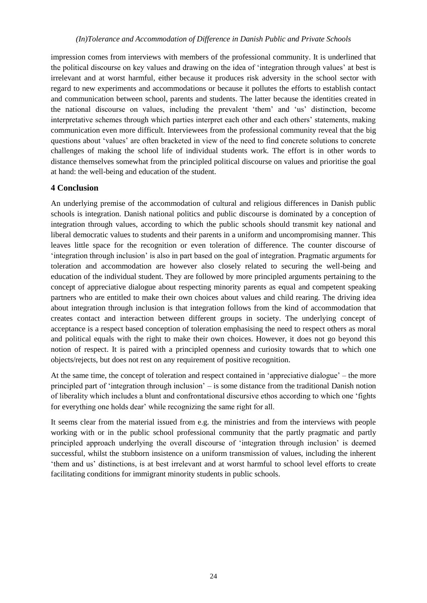impression comes from interviews with members of the professional community. It is underlined that the political discourse on key values and drawing on the idea of 'integration through values' at best is irrelevant and at worst harmful, either because it produces risk adversity in the school sector with regard to new experiments and accommodations or because it pollutes the efforts to establish contact and communication between school, parents and students. The latter because the identities created in the national discourse on values, including the prevalent 'them' and 'us' distinction, become interpretative schemes through which parties interpret each other and each others' statements, making communication even more difficult. Interviewees from the professional community reveal that the big questions about 'values' are often bracketed in view of the need to find concrete solutions to concrete challenges of making the school life of individual students work. The effort is in other words to distance themselves somewhat from the principled political discourse on values and prioritise the goal at hand: the well-being and education of the student.

# <span id="page-30-0"></span>**4 Conclusion**

An underlying premise of the accommodation of cultural and religious differences in Danish public schools is integration. Danish national politics and public discourse is dominated by a conception of integration through values, according to which the public schools should transmit key national and liberal democratic values to students and their parents in a uniform and uncompromising manner. This leaves little space for the recognition or even toleration of difference. The counter discourse of 'integration through inclusion' is also in part based on the goal of integration. Pragmatic arguments for toleration and accommodation are however also closely related to securing the well-being and education of the individual student. They are followed by more principled arguments pertaining to the concept of appreciative dialogue about respecting minority parents as equal and competent speaking partners who are entitled to make their own choices about values and child rearing. The driving idea about integration through inclusion is that integration follows from the kind of accommodation that creates contact and interaction between different groups in society. The underlying concept of acceptance is a respect based conception of toleration emphasising the need to respect others as moral and political equals with the right to make their own choices. However, it does not go beyond this notion of respect. It is paired with a principled openness and curiosity towards that to which one objects/rejects, but does not rest on any requirement of positive recognition.

At the same time, the concept of toleration and respect contained in 'appreciative dialogue' – the more principled part of 'integration through inclusion' – is some distance from the traditional Danish notion of liberality which includes a blunt and confrontational discursive ethos according to which one 'fights for everything one holds dear' while recognizing the same right for all.

It seems clear from the material issued from e.g. the ministries and from the interviews with people working with or in the public school professional community that the partly pragmatic and partly principled approach underlying the overall discourse of 'integration through inclusion' is deemed successful, whilst the stubborn insistence on a uniform transmission of values, including the inherent 'them and us' distinctions, is at best irrelevant and at worst harmful to school level efforts to create facilitating conditions for immigrant minority students in public schools.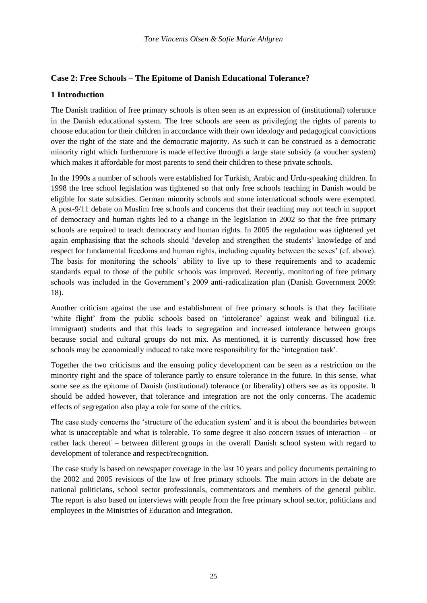# <span id="page-31-0"></span>**Case 2: Free Schools – The Epitome of Danish Educational Tolerance?**

# <span id="page-31-1"></span>**1 Introduction**

The Danish tradition of free primary schools is often seen as an expression of (institutional) tolerance in the Danish educational system. The free schools are seen as privileging the rights of parents to choose education for their children in accordance with their own ideology and pedagogical convictions over the right of the state and the democratic majority. As such it can be construed as a democratic minority right which furthermore is made effective through a large state subsidy (a voucher system) which makes it affordable for most parents to send their children to these private schools.

In the 1990s a number of schools were established for Turkish, Arabic and Urdu-speaking children. In 1998 the free school legislation was tightened so that only free schools teaching in Danish would be eligible for state subsidies. German minority schools and some international schools were exempted. A post-9/11 debate on Muslim free schools and concerns that their teaching may not teach in support of democracy and human rights led to a change in the legislation in 2002 so that the free primary schools are required to teach democracy and human rights. In 2005 the regulation was tightened yet again emphasising that the schools should 'develop and strengthen the students' knowledge of and respect for fundamental freedoms and human rights, including equality between the sexes' (cf. above). The basis for monitoring the schools' ability to live up to these requirements and to academic standards equal to those of the public schools was improved. Recently, monitoring of free primary schools was included in the Government's 2009 anti-radicalization plan (Danish Government 2009: 18).

Another criticism against the use and establishment of free primary schools is that they facilitate 'white flight' from the public schools based on 'intolerance' against weak and bilingual (i.e. immigrant) students and that this leads to segregation and increased intolerance between groups because social and cultural groups do not mix. As mentioned, it is currently discussed how free schools may be economically induced to take more responsibility for the 'integration task'.

Together the two criticisms and the ensuing policy development can be seen as a restriction on the minority right and the space of tolerance partly to ensure tolerance in the future. In this sense, what some see as the epitome of Danish (institutional) tolerance (or liberality) others see as its opposite. It should be added however, that tolerance and integration are not the only concerns. The academic effects of segregation also play a role for some of the critics.

The case study concerns the 'structure of the education system' and it is about the boundaries between what is unacceptable and what is tolerable. To some degree it also concern issues of interaction – or rather lack thereof – between different groups in the overall Danish school system with regard to development of tolerance and respect/recognition.

The case study is based on newspaper coverage in the last 10 years and policy documents pertaining to the 2002 and 2005 revisions of the law of free primary schools. The main actors in the debate are national politicians, school sector professionals, commentators and members of the general public. The report is also based on interviews with people from the free primary school sector, politicians and employees in the Ministries of Education and Integration.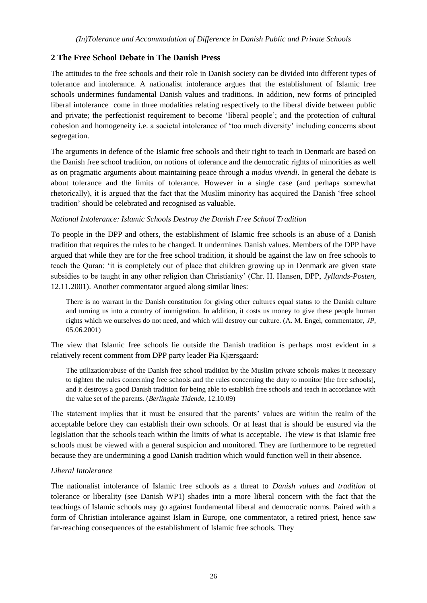# <span id="page-32-0"></span>**2 The Free School Debate in The Danish Press**

The attitudes to the free schools and their role in Danish society can be divided into different types of tolerance and intolerance. A nationalist intolerance argues that the establishment of Islamic free schools undermines fundamental Danish values and traditions. In addition, new forms of principled liberal intolerance come in three modalities relating respectively to the liberal divide between public and private; the perfectionist requirement to become 'liberal people'; and the protection of cultural cohesion and homogeneity i.e. a societal intolerance of 'too much diversity' including concerns about segregation.

The arguments in defence of the Islamic free schools and their right to teach in Denmark are based on the Danish free school tradition, on notions of tolerance and the democratic rights of minorities as well as on pragmatic arguments about maintaining peace through a *modus vivendi*. In general the debate is about tolerance and the limits of tolerance. However in a single case (and perhaps somewhat rhetorically), it is argued that the fact that the Muslim minority has acquired the Danish 'free school tradition' should be celebrated and recognised as valuable.

## *National Intolerance: Islamic Schools Destroy the Danish Free School Tradition*

To people in the DPP and others, the establishment of Islamic free schools is an abuse of a Danish tradition that requires the rules to be changed. It undermines Danish values. Members of the DPP have argued that while they are for the free school tradition, it should be against the law on free schools to teach the Quran: 'it is completely out of place that children growing up in Denmark are given state subsidies to be taught in any other religion than Christianity' (Chr. H. Hansen, DPP, *Jyllands-Posten*, 12.11.2001). Another commentator argued along similar lines:

There is no warrant in the Danish constitution for giving other cultures equal status to the Danish culture and turning us into a country of immigration. In addition, it costs us money to give these people human rights which we ourselves do not need, and which will destroy our culture. (A. M. Engel, commentator, *JP*, 05.06.2001)

The view that Islamic free schools lie outside the Danish tradition is perhaps most evident in a relatively recent comment from DPP party leader Pia Kjærsgaard:

The utilization/abuse of the Danish free school tradition by the Muslim private schools makes it necessary to tighten the rules concerning free schools and the rules concerning the duty to monitor [the free schools], and it destroys a good Danish tradition for being able to establish free schools and teach in accordance with the value set of the parents. (*Berlingske Tidende*, 12.10.09)

The statement implies that it must be ensured that the parents' values are within the realm of the acceptable before they can establish their own schools. Or at least that is should be ensured via the legislation that the schools teach within the limits of what is acceptable. The view is that Islamic free schools must be viewed with a general suspicion and monitored. They are furthermore to be regretted because they are undermining a good Danish tradition which would function well in their absence.

## *Liberal Intolerance*

The nationalist intolerance of Islamic free schools as a threat to *Danish values* and *tradition* of tolerance or liberality (see Danish WP1) shades into a more liberal concern with the fact that the teachings of Islamic schools may go against fundamental liberal and democratic norms. Paired with a form of Christian intolerance against Islam in Europe, one commentator, a retired priest, hence saw far-reaching consequences of the establishment of Islamic free schools. They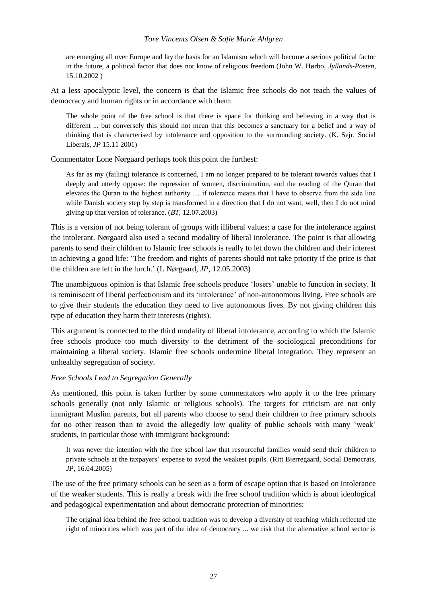#### *Tore Vincents Olsen & Sofie Marie Ahlgren*

are emerging all over Europe and lay the basis for an Islamism which will become a serious political factor in the future, a political factor that does not know of religious freedom (John W. Hørbo, *Jyllands-Posten*, 15.10.2002 )

At a less apocalyptic level, the concern is that the Islamic free schools do not teach the values of democracy and human rights or in accordance with them:

The whole point of the free school is that there is space for thinking and believing in a way that is different ... but conversely this should not mean that this becomes a sanctuary for a belief and a way of thinking that is characterised by intolerance and opposition to the surrounding society. (K. Sejr, Social Liberals, *JP* 15.11 2001)

Commentator Lone Nørgaard perhaps took this point the furthest:

As far as my (failing) tolerance is concerned, I am no longer prepared to be tolerant towards values that I deeply and utterly oppose: the repression of women, discrimination, and the reading of the Quran that elevates the Quran to the highest authority … if tolerance means that I have to observe from the side line while Danish society step by step is transformed in a direction that I do not want, well, then I do not mind giving up that version of tolerance. (*BT*, 12.07.2003)

This is a version of not being tolerant of groups with illiberal values: a case for the intolerance against the intolerant. Nørgaard also used a second modality of liberal intolerance. The point is that allowing parents to send their children to Islamic free schools is really to let down the children and their interest in achieving a good life: 'The freedom and rights of parents should not take priority if the price is that the children are left in the lurch.' (L Nørgaard, *JP*, 12.05.2003)

The unambiguous opinion is that Islamic free schools produce 'losers' unable to function in society. It is reminiscent of liberal perfectionism and its 'intolerance' of non-autonomous living. Free schools are to give their students the education they need to live autonomous lives. By not giving children this type of education they harm their interests (rights).

This argument is connected to the third modality of liberal intolerance, according to which the Islamic free schools produce too much diversity to the detriment of the sociological preconditions for maintaining a liberal society. Islamic free schools undermine liberal integration. They represent an unhealthy segregation of society.

#### *Free Schools Lead to Segregation Generally*

As mentioned, this point is taken further by some commentators who apply it to the free primary schools generally (not only Islamic or religious schools). The targets for criticism are not only immigrant Muslim parents, but all parents who choose to send their children to free primary schools for no other reason than to avoid the allegedly low quality of public schools with many 'weak' students, in particular those with immigrant background:

It was never the intention with the free school law that resourceful families would send their children to private schools at the taxpayers' expense to avoid the weakest pupils. (Ritt Bjerregaard, Social Democrats, *JP*, 16.04.2005)

The use of the free primary schools can be seen as a form of escape option that is based on intolerance of the weaker students. This is really a break with the free school tradition which is about ideological and pedagogical experimentation and about democratic protection of minorities:

The original idea behind the free school tradition was to develop a diversity of teaching which reflected the right of minorities which was part of the idea of democracy ... we risk that the alternative school sector is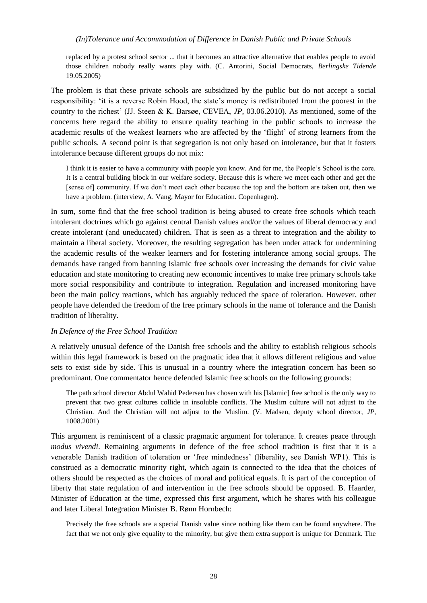replaced by a protest school sector ... that it becomes an attractive alternative that enables people to avoid those children nobody really wants play with. (C. Antorini, Social Democrats, *Berlingske Tidende* 19.05.2005)

The problem is that these private schools are subsidized by the public but do not accept a social responsibility: 'it is a reverse Robin Hood, the state's money is redistributed from the poorest in the country to the richest' (JJ. Steen & K. Barsøe, CEVEA, *JP*, 03.06.2010). As mentioned, some of the concerns here regard the ability to ensure quality teaching in the public schools to increase the academic results of the weakest learners who are affected by the 'flight' of strong learners from the public schools. A second point is that segregation is not only based on intolerance, but that it fosters intolerance because different groups do not mix:

I think it is easier to have a community with people you know. And for me, the People's School is the core. It is a central building block in our welfare society. Because this is where we meet each other and get the [sense of] community. If we don't meet each other because the top and the bottom are taken out, then we have a problem. (interview, A. Vang, Mayor for Education. Copenhagen).

In sum, some find that the free school tradition is being abused to create free schools which teach intolerant doctrines which go against central Danish values and/or the values of liberal democracy and create intolerant (and uneducated) children. That is seen as a threat to integration and the ability to maintain a liberal society. Moreover, the resulting segregation has been under attack for undermining the academic results of the weaker learners and for fostering intolerance among social groups. The demands have ranged from banning Islamic free schools over increasing the demands for civic value education and state monitoring to creating new economic incentives to make free primary schools take more social responsibility and contribute to integration. Regulation and increased monitoring have been the main policy reactions, which has arguably reduced the space of toleration. However, other people have defended the freedom of the free primary schools in the name of tolerance and the Danish tradition of liberality.

#### *In Defence of the Free School Tradition*

A relatively unusual defence of the Danish free schools and the ability to establish religious schools within this legal framework is based on the pragmatic idea that it allows different religious and value sets to exist side by side. This is unusual in a country where the integration concern has been so predominant. One commentator hence defended Islamic free schools on the following grounds:

The path school director Abdul Wahid Pedersen has chosen with his [Islamic] free school is the only way to prevent that two great cultures collide in insoluble conflicts. The Muslim culture will not adjust to the Christian. And the Christian will not adjust to the Muslim. (V. Madsen, deputy school director, *JP*, 1008.2001)

This argument is reminiscent of a classic pragmatic argument for tolerance. It creates peace through *modus vivendi*. Remaining arguments in defence of the free school tradition is first that it is a venerable Danish tradition of toleration or 'free mindedness' (liberality, see Danish WP1). This is construed as a democratic minority right, which again is connected to the idea that the choices of others should be respected as the choices of moral and political equals. It is part of the conception of liberty that state regulation of and intervention in the free schools should be opposed. B. Haarder, Minister of Education at the time, expressed this first argument, which he shares with his colleague and later Liberal Integration Minister B. Rønn Hornbech:

Precisely the free schools are a special Danish value since nothing like them can be found anywhere. The fact that we not only give equality to the minority, but give them extra support is unique for Denmark. The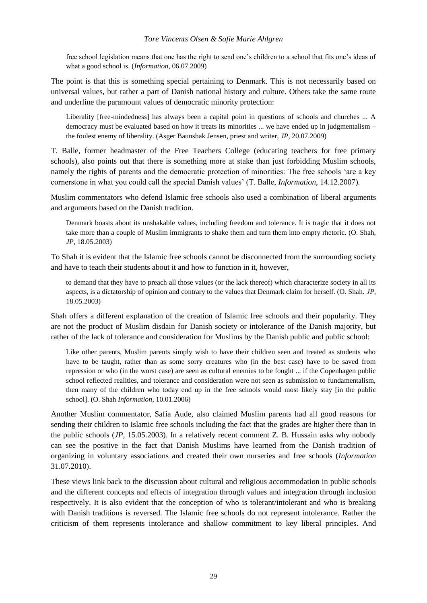#### *Tore Vincents Olsen & Sofie Marie Ahlgren*

free school legislation means that one has the right to send one's children to a school that fits one's ideas of what a good school is. (*Information*, 06.07.2009)

The point is that this is something special pertaining to Denmark. This is not necessarily based on universal values, but rather a part of Danish national history and culture. Others take the same route and underline the paramount values of democratic minority protection:

Liberality [free-mindedness] has always been a capital point in questions of schools and churches ... A democracy must be evaluated based on how it treats its minorities ... we have ended up in judgmentalism – the foulest enemy of liberality. (Asger Baunsbak Jensen, priest and writer, *JP*, 20.07.2009)

T. Balle, former headmaster of the Free Teachers College (educating teachers for free primary schools), also points out that there is something more at stake than just forbidding Muslim schools, namely the rights of parents and the democratic protection of minorities: The free schools 'are a key cornerstone in what you could call the special Danish values' (T. Balle, *Information*, 14.12.2007).

Muslim commentators who defend Islamic free schools also used a combination of liberal arguments and arguments based on the Danish tradition.

Denmark boasts about its unshakable values, including freedom and tolerance. It is tragic that it does not take more than a couple of Muslim immigrants to shake them and turn them into empty rhetoric. (O. Shah, *JP*, 18.05.2003)

To Shah it is evident that the Islamic free schools cannot be disconnected from the surrounding society and have to teach their students about it and how to function in it, however,

to demand that they have to preach all those values (or the lack thereof) which characterize society in all its aspects, is a dictatorship of opinion and contrary to the values that Denmark claim for herself. (O. Shah. *JP*, 18.05.2003)

Shah offers a different explanation of the creation of Islamic free schools and their popularity. They are not the product of Muslim disdain for Danish society or intolerance of the Danish majority, but rather of the lack of tolerance and consideration for Muslims by the Danish public and public school:

Like other parents, Muslim parents simply wish to have their children seen and treated as students who have to be taught, rather than as some sorry creatures who (in the best case) have to be saved from repression or who (in the worst case) are seen as cultural enemies to be fought ... if the Copenhagen public school reflected realities, and tolerance and consideration were not seen as submission to fundamentalism, then many of the children who today end up in the free schools would most likely stay [in the public school]. (O. Shah *Information*, 10.01.2006)

Another Muslim commentator, Safia Aude, also claimed Muslim parents had all good reasons for sending their children to Islamic free schools including the fact that the grades are higher there than in the public schools (*JP*, 15.05.2003). In a relatively recent comment Z. B. Hussain asks why nobody can see the positive in the fact that Danish Muslims have learned from the Danish tradition of organizing in voluntary associations and created their own nurseries and free schools (*Information* 31.07.2010).

These views link back to the discussion about cultural and religious accommodation in public schools and the different concepts and effects of integration through values and integration through inclusion respectively. It is also evident that the conception of who is tolerant/intolerant and who is breaking with Danish traditions is reversed. The Islamic free schools do not represent intolerance. Rather the criticism of them represents intolerance and shallow commitment to key liberal principles. And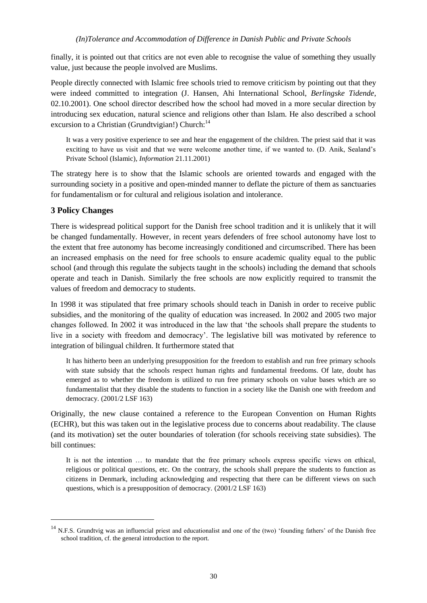finally, it is pointed out that critics are not even able to recognise the value of something they usually value, just because the people involved are Muslims.

People directly connected with Islamic free schools tried to remove criticism by pointing out that they were indeed committed to integration (J. Hansen, Ahi International School, *Berlingske Tidende*, 02.10.2001). One school director described how the school had moved in a more secular direction by introducing sex education, natural science and religions other than Islam. He also described a school excursion to a Christian (Grundtvigian!) Church: $14$ 

It was a very positive experience to see and hear the engagement of the children. The priest said that it was exciting to have us visit and that we were welcome another time, if we wanted to. (D. Anik, Sealand's Private School (Islamic), *Information* 21.11.2001)

The strategy here is to show that the Islamic schools are oriented towards and engaged with the surrounding society in a positive and open-minded manner to deflate the picture of them as sanctuaries for fundamentalism or for cultural and religious isolation and intolerance.

# <span id="page-36-0"></span>**3 Policy Changes**

l

There is widespread political support for the Danish free school tradition and it is unlikely that it will be changed fundamentally. However, in recent years defenders of free school autonomy have lost to the extent that free autonomy has become increasingly conditioned and circumscribed. There has been an increased emphasis on the need for free schools to ensure academic quality equal to the public school (and through this regulate the subjects taught in the schools) including the demand that schools operate and teach in Danish. Similarly the free schools are now explicitly required to transmit the values of freedom and democracy to students.

In 1998 it was stipulated that free primary schools should teach in Danish in order to receive public subsidies, and the monitoring of the quality of education was increased. In 2002 and 2005 two major changes followed. In 2002 it was introduced in the law that 'the schools shall prepare the students to live in a society with freedom and democracy'. The legislative bill was motivated by reference to integration of bilingual children. It furthermore stated that

It has hitherto been an underlying presupposition for the freedom to establish and run free primary schools with state subsidy that the schools respect human rights and fundamental freedoms. Of late, doubt has emerged as to whether the freedom is utilized to run free primary schools on value bases which are so fundamentalist that they disable the students to function in a society like the Danish one with freedom and democracy. (2001/2 LSF 163)

Originally, the new clause contained a reference to the European Convention on Human Rights (ECHR), but this was taken out in the legislative process due to concerns about readability. The clause (and its motivation) set the outer boundaries of toleration (for schools receiving state subsidies). The bill continues:

It is not the intention … to mandate that the free primary schools express specific views on ethical, religious or political questions, etc. On the contrary, the schools shall prepare the students to function as citizens in Denmark, including acknowledging and respecting that there can be different views on such questions, which is a presupposition of democracy. (2001/2 LSF 163)

<sup>&</sup>lt;sup>14</sup> N.F.S. Grundtvig was an influencial priest and educationalist and one of the (two) 'founding fathers' of the Danish free school tradition, cf. the general introduction to the report.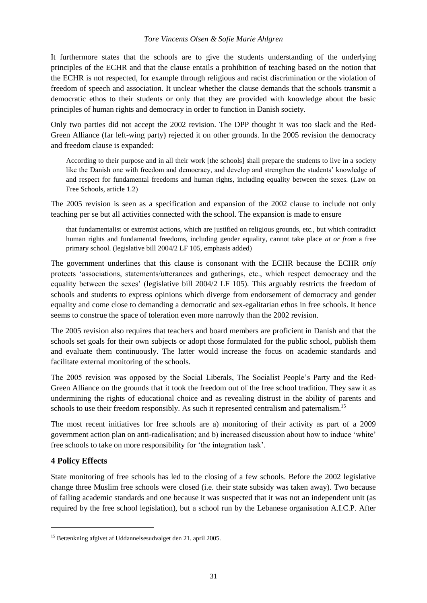## *Tore Vincents Olsen & Sofie Marie Ahlgren*

It furthermore states that the schools are to give the students understanding of the underlying principles of the ECHR and that the clause entails a prohibition of teaching based on the notion that the ECHR is not respected, for example through religious and racist discrimination or the violation of freedom of speech and association. It unclear whether the clause demands that the schools transmit a democratic ethos to their students or only that they are provided with knowledge about the basic principles of human rights and democracy in order to function in Danish society.

Only two parties did not accept the 2002 revision. The DPP thought it was too slack and the Red-Green Alliance (far left-wing party) rejected it on other grounds. In the 2005 revision the democracy and freedom clause is expanded:

According to their purpose and in all their work [the schools] shall prepare the students to live in a society like the Danish one with freedom and democracy, and develop and strengthen the students' knowledge of and respect for fundamental freedoms and human rights, including equality between the sexes. (Law on Free Schools, article 1.2)

The 2005 revision is seen as a specification and expansion of the 2002 clause to include not only teaching per se but all activities connected with the school. The expansion is made to ensure

that fundamentalist or extremist actions, which are justified on religious grounds, etc., but which contradict human rights and fundamental freedoms, including gender equality, cannot take place *at or from* a free primary school. (legislative bill 2004/2 LF 105, emphasis added)

The government underlines that this clause is consonant with the ECHR because the ECHR *only* protects 'associations, statements/utterances and gatherings, etc., which respect democracy and the equality between the sexes' (legislative bill 2004/2 LF 105). This arguably restricts the freedom of schools and students to express opinions which diverge from endorsement of democracy and gender equality and come close to demanding a democratic and sex-egalitarian ethos in free schools. It hence seems to construe the space of toleration even more narrowly than the 2002 revision.

The 2005 revision also requires that teachers and board members are proficient in Danish and that the schools set goals for their own subjects or adopt those formulated for the public school, publish them and evaluate them continuously. The latter would increase the focus on academic standards and facilitate external monitoring of the schools.

The 2005 revision was opposed by the Social Liberals, The Socialist People's Party and the Red-Green Alliance on the grounds that it took the freedom out of the free school tradition. They saw it as undermining the rights of educational choice and as revealing distrust in the ability of parents and schools to use their freedom responsibly. As such it represented centralism and paternalism.<sup>15</sup>

The most recent initiatives for free schools are a) monitoring of their activity as part of a 2009 government action plan on anti-radicalisation; and b) increased discussion about how to induce 'white' free schools to take on more responsibility for 'the integration task'.

# <span id="page-37-0"></span>**4 Policy Effects**

 $\overline{a}$ 

State monitoring of free schools has led to the closing of a few schools. Before the 2002 legislative change three Muslim free schools were closed (i.e. their state subsidy was taken away). Two because of failing academic standards and one because it was suspected that it was not an independent unit (as required by the free school legislation), but a school run by the Lebanese organisation A.I.C.P. After

<sup>15</sup> Betænkning afgivet af Uddannelsesudvalget den 21. april 2005.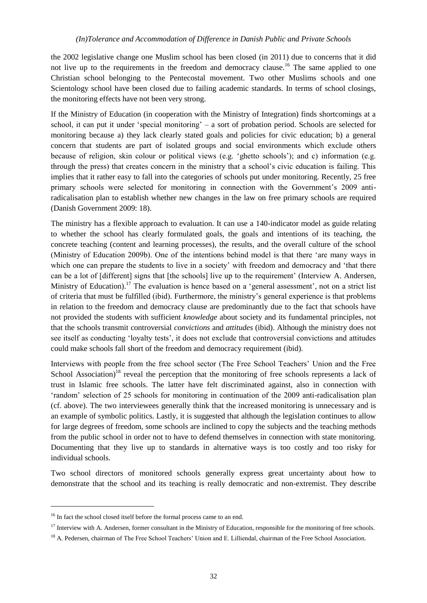the 2002 legislative change one Muslim school has been closed (in 2011) due to concerns that it did not live up to the requirements in the freedom and democracy clause.<sup>16</sup> The same applied to one Christian school belonging to the Pentecostal movement. Two other Muslims schools and one Scientology school have been closed due to failing academic standards. In terms of school closings, the monitoring effects have not been very strong.

If the Ministry of Education (in cooperation with the Ministry of Integration) finds shortcomings at a school, it can put it under 'special monitoring' – a sort of probation period. Schools are selected for monitoring because a) they lack clearly stated goals and policies for civic education; b) a general concern that students are part of isolated groups and social environments which exclude others because of religion, skin colour or political views (e.g. 'ghetto schools'); and c) information (e.g. through the press) that creates concern in the ministry that a school's civic education is failing. This implies that it rather easy to fall into the categories of schools put under monitoring. Recently, 25 free primary schools were selected for monitoring in connection with the Government's 2009 antiradicalisation plan to establish whether new changes in the law on free primary schools are required (Danish Government 2009: 18).

The ministry has a flexible approach to evaluation. It can use a 140-indicator model as guide relating to whether the school has clearly formulated goals, the goals and intentions of its teaching, the concrete teaching (content and learning processes), the results, and the overall culture of the school (Ministry of Education 2009b). One of the intentions behind model is that there 'are many ways in which one can prepare the students to live in a society' with freedom and democracy and 'that there can be a lot of [different] signs that [the schools] live up to the requirement' (Interview A. Andersen, Ministry of Education).<sup>17</sup> The evaluation is hence based on a 'general assessment', not on a strict list of criteria that must be fulfilled (ibid). Furthermore, the ministry's general experience is that problems in relation to the freedom and democracy clause are predominantly due to the fact that schools have not provided the students with sufficient *knowledge* about society and its fundamental principles, not that the schools transmit controversial *convictions* and *attitudes* (ibid). Although the ministry does not see itself as conducting 'loyalty tests', it does not exclude that controversial convictions and attitudes could make schools fall short of the freedom and democracy requirement (ibid).

Interviews with people from the free school sector (The Free School Teachers' Union and the Free School Association)<sup>18</sup> reveal the perception that the monitoring of free schools represents a lack of trust in Islamic free schools. The latter have felt discriminated against, also in connection with 'random' selection of 25 schools for monitoring in continuation of the 2009 anti-radicalisation plan (cf. above). The two interviewees generally think that the increased monitoring is unnecessary and is an example of symbolic politics. Lastly, it is suggested that although the legislation continues to allow for large degrees of freedom, some schools are inclined to copy the subjects and the teaching methods from the public school in order not to have to defend themselves in connection with state monitoring. Documenting that they live up to standards in alternative ways is too costly and too risky for individual schools.

Two school directors of monitored schools generally express great uncertainty about how to demonstrate that the school and its teaching is really democratic and non-extremist. They describe

 $\overline{a}$ 

<sup>&</sup>lt;sup>16</sup> In fact the school closed itself before the formal process came to an end.

<sup>&</sup>lt;sup>17</sup> Interview with A. Andersen, former consultant in the Ministry of Education, responsible for the monitoring of free schools.

<sup>&</sup>lt;sup>18</sup> A. Pedersen, chairman of The Free School Teachers' Union and E. Lilliendal, chairman of the Free School Association.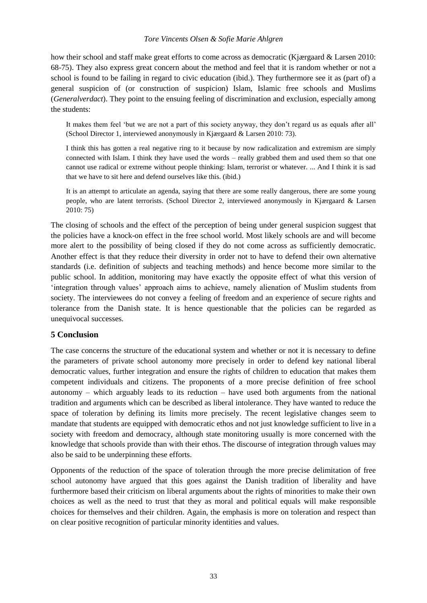#### *Tore Vincents Olsen & Sofie Marie Ahlgren*

how their school and staff make great efforts to come across as democratic (Kjærgaard & Larsen 2010: 68-75). They also express great concern about the method and feel that it is random whether or not a school is found to be failing in regard to civic education (ibid.). They furthermore see it as (part of) a general suspicion of (or construction of suspicion) Islam, Islamic free schools and Muslims (*Generalverdact*). They point to the ensuing feeling of discrimination and exclusion, especially among the students:

It makes them feel 'but we are not a part of this society anyway, they don't regard us as equals after all' (School Director 1, interviewed anonymously in Kjærgaard & Larsen 2010: 73).

I think this has gotten a real negative ring to it because by now radicalization and extremism are simply connected with Islam. I think they have used the words – really grabbed them and used them so that one cannot use radical or extreme without people thinking: Islam, terrorist or whatever. ... And I think it is sad that we have to sit here and defend ourselves like this. (ibid.)

It is an attempt to articulate an agenda, saying that there are some really dangerous, there are some young people, who are latent terrorists. (School Director 2, interviewed anonymously in Kjærgaard & Larsen 2010: 75)

The closing of schools and the effect of the perception of being under general suspicion suggest that the policies have a knock-on effect in the free school world. Most likely schools are and will become more alert to the possibility of being closed if they do not come across as sufficiently democratic. Another effect is that they reduce their diversity in order not to have to defend their own alternative standards (i.e. definition of subjects and teaching methods) and hence become more similar to the public school. In addition, monitoring may have exactly the opposite effect of what this version of 'integration through values' approach aims to achieve, namely alienation of Muslim students from society. The interviewees do not convey a feeling of freedom and an experience of secure rights and tolerance from the Danish state. It is hence questionable that the policies can be regarded as unequivocal successes.

## <span id="page-39-0"></span>**5 Conclusion**

The case concerns the structure of the educational system and whether or not it is necessary to define the parameters of private school autonomy more precisely in order to defend key national liberal democratic values, further integration and ensure the rights of children to education that makes them competent individuals and citizens. The proponents of a more precise definition of free school autonomy – which arguably leads to its reduction – have used both arguments from the national tradition and arguments which can be described as liberal intolerance. They have wanted to reduce the space of toleration by defining its limits more precisely. The recent legislative changes seem to mandate that students are equipped with democratic ethos and not just knowledge sufficient to live in a society with freedom and democracy, although state monitoring usually is more concerned with the knowledge that schools provide than with their ethos. The discourse of integration through values may also be said to be underpinning these efforts.

Opponents of the reduction of the space of toleration through the more precise delimitation of free school autonomy have argued that this goes against the Danish tradition of liberality and have furthermore based their criticism on liberal arguments about the rights of minorities to make their own choices as well as the need to trust that they as moral and political equals will make responsible choices for themselves and their children. Again, the emphasis is more on toleration and respect than on clear positive recognition of particular minority identities and values.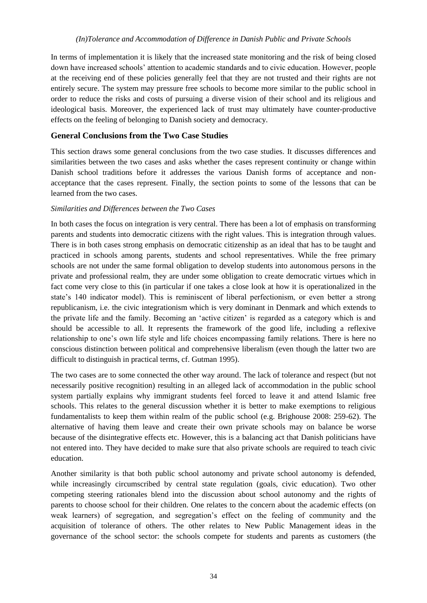In terms of implementation it is likely that the increased state monitoring and the risk of being closed down have increased schools' attention to academic standards and to civic education. However, people at the receiving end of these policies generally feel that they are not trusted and their rights are not entirely secure. The system may pressure free schools to become more similar to the public school in order to reduce the risks and costs of pursuing a diverse vision of their school and its religious and ideological basis. Moreover, the experienced lack of trust may ultimately have counter-productive effects on the feeling of belonging to Danish society and democracy.

# <span id="page-40-0"></span>**General Conclusions from the Two Case Studies**

This section draws some general conclusions from the two case studies. It discusses differences and similarities between the two cases and asks whether the cases represent continuity or change within Danish school traditions before it addresses the various Danish forms of acceptance and nonacceptance that the cases represent. Finally, the section points to some of the lessons that can be learned from the two cases.

## *Similarities and Differences between the Two Cases*

In both cases the focus on integration is very central. There has been a lot of emphasis on transforming parents and students into democratic citizens with the right values. This is integration through values. There is in both cases strong emphasis on democratic citizenship as an ideal that has to be taught and practiced in schools among parents, students and school representatives. While the free primary schools are not under the same formal obligation to develop students into autonomous persons in the private and professional realm, they are under some obligation to create democratic virtues which in fact come very close to this (in particular if one takes a close look at how it is operationalized in the state's 140 indicator model). This is reminiscent of liberal perfectionism, or even better a strong republicanism, i.e. the civic integrationism which is very dominant in Denmark and which extends to the private life and the family. Becoming an 'active citizen' is regarded as a category which is and should be accessible to all. It represents the framework of the good life, including a reflexive relationship to one's own life style and life choices encompassing family relations. There is here no conscious distinction between political and comprehensive liberalism (even though the latter two are difficult to distinguish in practical terms, cf. Gutman 1995).

The two cases are to some connected the other way around. The lack of tolerance and respect (but not necessarily positive recognition) resulting in an alleged lack of accommodation in the public school system partially explains why immigrant students feel forced to leave it and attend Islamic free schools. This relates to the general discussion whether it is better to make exemptions to religious fundamentalists to keep them within realm of the public school (e.g. Brighouse 2008: 259-62). The alternative of having them leave and create their own private schools may on balance be worse because of the disintegrative effects etc. However, this is a balancing act that Danish politicians have not entered into. They have decided to make sure that also private schools are required to teach civic education.

Another similarity is that both public school autonomy and private school autonomy is defended, while increasingly circumscribed by central state regulation (goals, civic education). Two other competing steering rationales blend into the discussion about school autonomy and the rights of parents to choose school for their children. One relates to the concern about the academic effects (on weak learners) of segregation, and segregation's effect on the feeling of community and the acquisition of tolerance of others. The other relates to New Public Management ideas in the governance of the school sector: the schools compete for students and parents as customers (the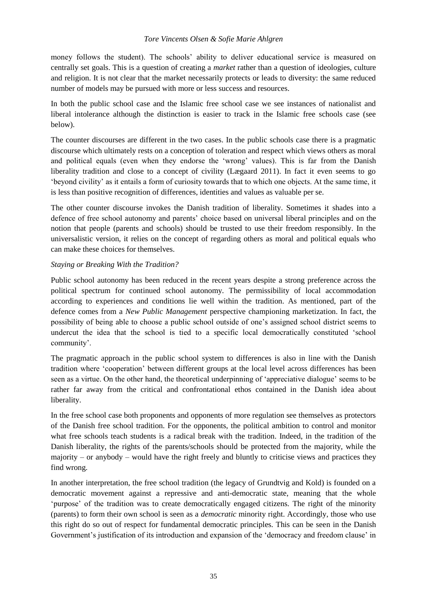## *Tore Vincents Olsen & Sofie Marie Ahlgren*

money follows the student). The schools' ability to deliver educational service is measured on centrally set goals. This is a question of creating a *market* rather than a question of ideologies, culture and religion. It is not clear that the market necessarily protects or leads to diversity: the same reduced number of models may be pursued with more or less success and resources.

In both the public school case and the Islamic free school case we see instances of nationalist and liberal intolerance although the distinction is easier to track in the Islamic free schools case (see below).

The counter discourses are different in the two cases. In the public schools case there is a pragmatic discourse which ultimately rests on a conception of toleration and respect which views others as moral and political equals (even when they endorse the 'wrong' values). This is far from the Danish liberality tradition and close to a concept of civility (Lægaard 2011). In fact it even seems to go 'beyond civility' as it entails a form of curiosity towards that to which one objects. At the same time, it is less than positive recognition of differences, identities and values as valuable per se.

The other counter discourse invokes the Danish tradition of liberality. Sometimes it shades into a defence of free school autonomy and parents' choice based on universal liberal principles and on the notion that people (parents and schools) should be trusted to use their freedom responsibly. In the universalistic version, it relies on the concept of regarding others as moral and political equals who can make these choices for themselves.

## *Staying or Breaking With the Tradition?*

Public school autonomy has been reduced in the recent years despite a strong preference across the political spectrum for continued school autonomy. The permissibility of local accommodation according to experiences and conditions lie well within the tradition. As mentioned, part of the defence comes from a *New Public Management* perspective championing marketization. In fact, the possibility of being able to choose a public school outside of one's assigned school district seems to undercut the idea that the school is tied to a specific local democratically constituted 'school community'.

The pragmatic approach in the public school system to differences is also in line with the Danish tradition where 'cooperation' between different groups at the local level across differences has been seen as a virtue. On the other hand, the theoretical underpinning of 'appreciative dialogue' seems to be rather far away from the critical and confrontational ethos contained in the Danish idea about liberality.

In the free school case both proponents and opponents of more regulation see themselves as protectors of the Danish free school tradition. For the opponents, the political ambition to control and monitor what free schools teach students is a radical break with the tradition. Indeed, in the tradition of the Danish liberality, the rights of the parents/schools should be protected from the majority, while the majority – or anybody – would have the right freely and bluntly to criticise views and practices they find wrong.

In another interpretation, the free school tradition (the legacy of Grundtvig and Kold) is founded on a democratic movement against a repressive and anti-democratic state, meaning that the whole 'purpose' of the tradition was to create democratically engaged citizens. The right of the minority (parents) to form their own school is seen as a *democratic* minority right. Accordingly, those who use this right do so out of respect for fundamental democratic principles. This can be seen in the Danish Government's justification of its introduction and expansion of the 'democracy and freedom clause' in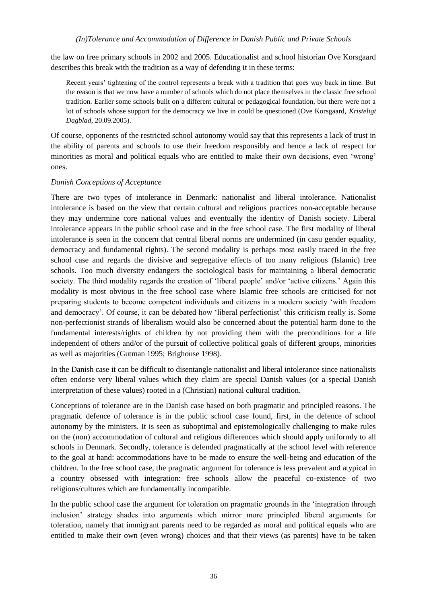the law on free primary schools in 2002 and 2005. Educationalist and school historian Ove Korsgaard describes this break with the tradition as a way of defending it in these terms:

Recent years' tightening of the control represents a break with a tradition that goes way back in time. But the reason is that we now have a number of schools which do not place themselves in the classic free school tradition. Earlier some schools built on a different cultural or pedagogical foundation, but there were not a lot of schools whose support for the democracy we live in could be questioned (Ove Korsgaard, *Kristeligt Dagblad*, 20.09.2005).

Of course, opponents of the restricted school autonomy would say that this represents a lack of trust in the ability of parents and schools to use their freedom responsibly and hence a lack of respect for minorities as moral and political equals who are entitled to make their own decisions, even 'wrong' ones.

#### *Danish Conceptions of Acceptance*

There are two types of intolerance in Denmark: nationalist and liberal intolerance. Nationalist intolerance is based on the view that certain cultural and religious practices non-acceptable because they may undermine core national values and eventually the identity of Danish society. Liberal intolerance appears in the public school case and in the free school case. The first modality of liberal intolerance is seen in the concern that central liberal norms are undermined (in casu gender equality, democracy and fundamental rights). The second modality is perhaps most easily traced in the free school case and regards the divisive and segregative effects of too many religious (Islamic) free schools. Too much diversity endangers the sociological basis for maintaining a liberal democratic society. The third modality regards the creation of 'liberal people' and/or 'active citizens.' Again this modality is most obvious in the free school case where Islamic free schools are criticised for not preparing students to become competent individuals and citizens in a modern society 'with freedom and democracy'. Of course, it can be debated how 'liberal perfectionist' this criticism really is. Some non-perfectionist strands of liberalism would also be concerned about the potential harm done to the fundamental interests/rights of children by not providing them with the preconditions for a life independent of others and/or of the pursuit of collective political goals of different groups, minorities as well as majorities (Gutman 1995; Brighouse 1998).

In the Danish case it can be difficult to disentangle nationalist and liberal intolerance since nationalists often endorse very liberal values which they claim are special Danish values (or a special Danish interpretation of these values) rooted in a (Christian) national cultural tradition.

Conceptions of tolerance are in the Danish case based on both pragmatic and principled reasons. The pragmatic defence of tolerance is in the public school case found, first, in the defence of school autonomy by the ministers. It is seen as suboptimal and epistemologically challenging to make rules on the (non) accommodation of cultural and religious differences which should apply uniformly to all schools in Denmark. Secondly, tolerance is defended pragmatically at the school level with reference to the goal at hand: accommodations have to be made to ensure the well-being and education of the children. In the free school case, the pragmatic argument for tolerance is less prevalent and atypical in a country obsessed with integration: free schools allow the peaceful co-existence of two religions/cultures which are fundamentally incompatible.

In the public school case the argument for toleration on pragmatic grounds in the 'integration through inclusion' strategy shades into arguments which mirror more principled liberal arguments for toleration, namely that immigrant parents need to be regarded as moral and political equals who are entitled to make their own (even wrong) choices and that their views (as parents) have to be taken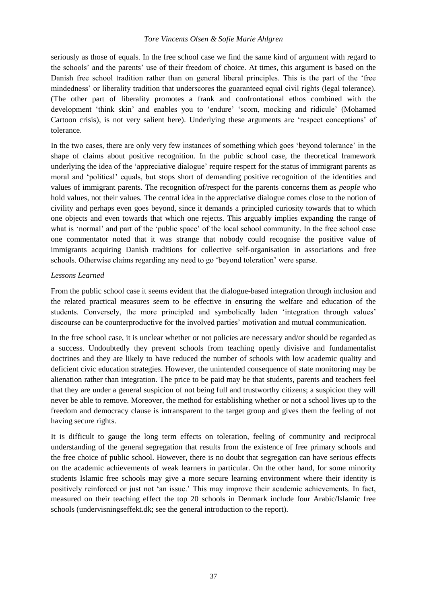## *Tore Vincents Olsen & Sofie Marie Ahlgren*

seriously as those of equals. In the free school case we find the same kind of argument with regard to the schools' and the parents' use of their freedom of choice. At times, this argument is based on the Danish free school tradition rather than on general liberal principles. This is the part of the 'free mindedness' or liberality tradition that underscores the guaranteed equal civil rights (legal tolerance). (The other part of liberality promotes a frank and confrontational ethos combined with the development 'think skin' and enables you to 'endure' 'scorn, mocking and ridicule' (Mohamed Cartoon crisis), is not very salient here). Underlying these arguments are 'respect conceptions' of tolerance.

In the two cases, there are only very few instances of something which goes 'beyond tolerance' in the shape of claims about positive recognition. In the public school case, the theoretical framework underlying the idea of the 'appreciative dialogue' require respect for the status of immigrant parents as moral and 'political' equals, but stops short of demanding positive recognition of the identities and values of immigrant parents. The recognition of/respect for the parents concerns them as *people* who hold values, not their values. The central idea in the appreciative dialogue comes close to the notion of civility and perhaps even goes beyond, since it demands a principled curiosity towards that to which one objects and even towards that which one rejects. This arguably implies expanding the range of what is 'normal' and part of the 'public space' of the local school community. In the free school case one commentator noted that it was strange that nobody could recognise the positive value of immigrants acquiring Danish traditions for collective self-organisation in associations and free schools. Otherwise claims regarding any need to go 'beyond toleration' were sparse.

## *Lessons Learned*

From the public school case it seems evident that the dialogue-based integration through inclusion and the related practical measures seem to be effective in ensuring the welfare and education of the students. Conversely, the more principled and symbolically laden 'integration through values' discourse can be counterproductive for the involved parties' motivation and mutual communication.

In the free school case, it is unclear whether or not policies are necessary and/or should be regarded as a success. Undoubtedly they prevent schools from teaching openly divisive and fundamentalist doctrines and they are likely to have reduced the number of schools with low academic quality and deficient civic education strategies. However, the unintended consequence of state monitoring may be alienation rather than integration. The price to be paid may be that students, parents and teachers feel that they are under a general suspicion of not being full and trustworthy citizens; a suspicion they will never be able to remove. Moreover, the method for establishing whether or not a school lives up to the freedom and democracy clause is intransparent to the target group and gives them the feeling of not having secure rights.

It is difficult to gauge the long term effects on toleration, feeling of community and reciprocal understanding of the general segregation that results from the existence of free primary schools and the free choice of public school. However, there is no doubt that segregation can have serious effects on the academic achievements of weak learners in particular. On the other hand, for some minority students Islamic free schools may give a more secure learning environment where their identity is positively reinforced or just not 'an issue.' This may improve their academic achievements. In fact, measured on their teaching effect the top 20 schools in Denmark include four Arabic/Islamic free schools (undervisningseffekt.dk; see the general introduction to the report).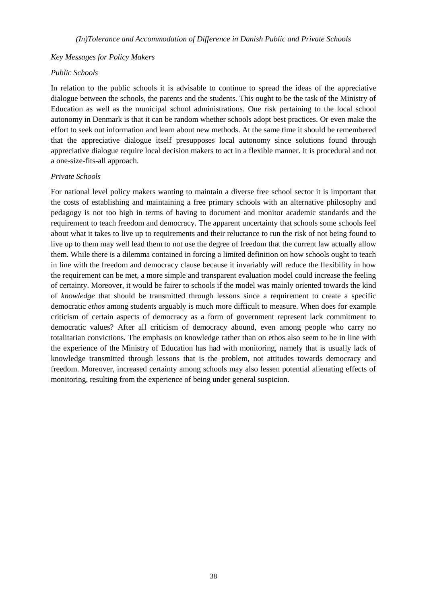#### *Key Messages for Policy Makers*

#### *Public Schools*

In relation to the public schools it is advisable to continue to spread the ideas of the appreciative dialogue between the schools, the parents and the students. This ought to be the task of the Ministry of Education as well as the municipal school administrations. One risk pertaining to the local school autonomy in Denmark is that it can be random whether schools adopt best practices. Or even make the effort to seek out information and learn about new methods. At the same time it should be remembered that the appreciative dialogue itself presupposes local autonomy since solutions found through appreciative dialogue require local decision makers to act in a flexible manner. It is procedural and not a one-size-fits-all approach.

#### *Private Schools*

For national level policy makers wanting to maintain a diverse free school sector it is important that the costs of establishing and maintaining a free primary schools with an alternative philosophy and pedagogy is not too high in terms of having to document and monitor academic standards and the requirement to teach freedom and democracy. The apparent uncertainty that schools some schools feel about what it takes to live up to requirements and their reluctance to run the risk of not being found to live up to them may well lead them to not use the degree of freedom that the current law actually allow them. While there is a dilemma contained in forcing a limited definition on how schools ought to teach in line with the freedom and democracy clause because it invariably will reduce the flexibility in how the requirement can be met, a more simple and transparent evaluation model could increase the feeling of certainty. Moreover, it would be fairer to schools if the model was mainly oriented towards the kind of *knowledge* that should be transmitted through lessons since a requirement to create a specific democratic *ethos* among students arguably is much more difficult to measure. When does for example criticism of certain aspects of democracy as a form of government represent lack commitment to democratic values? After all criticism of democracy abound, even among people who carry no totalitarian convictions. The emphasis on knowledge rather than on ethos also seem to be in line with the experience of the Ministry of Education has had with monitoring, namely that is usually lack of knowledge transmitted through lessons that is the problem, not attitudes towards democracy and freedom. Moreover, increased certainty among schools may also lessen potential alienating effects of monitoring, resulting from the experience of being under general suspicion.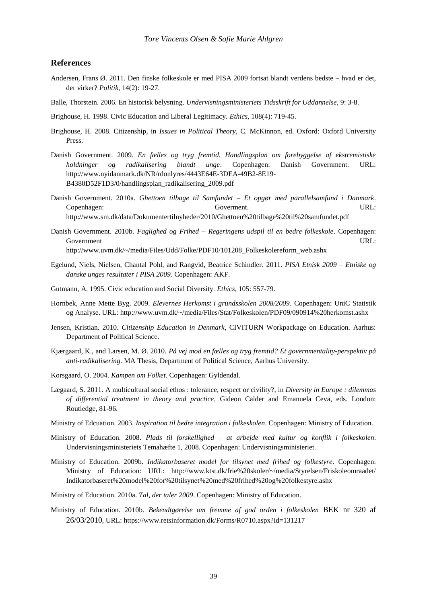#### <span id="page-45-0"></span>**References**

- Andersen, Frans Ø. 2011. Den finske folkeskole er med PISA 2009 fortsat blandt verdens bedste hvad er det, der virker? *Politik*, 14(2): 19-27.
- Balle, Thorstein. 2006. En historisk belysning. *Undervisningsministeriets Tidsskrift for Uddannelse*, 9: 3-8.
- Brighouse, H. 1998. Civic Education and Liberal Legitimacy. *Ethics*, 108(4): 719-45.
- Brighouse, H. 2008. Citizenship, in *Issues in Political Theory*, C. McKinnon, ed. Oxford: Oxford University Press.
- Danish Government. 2009. *En fælles og tryg fremtid. Handlingsplan om forebyggelse af ekstremistiske holdninger og radikalisering blandt unge*. Copenhagen: Danish Government. URL: [http://www.nyidanmark.dk/NR/rdonlyres/4443E64E-3DEA-49B2-8E19-](http://www.nyidanmark.dk/NR/rdonlyres/4443E64E-3DEA-49B2-8E19-B4380D52F1D3/0/handlingsplan_radikalisering_2009.pdf) [B4380D52F1D3/0/handlingsplan\\_radikalisering\\_2009.pdf](http://www.nyidanmark.dk/NR/rdonlyres/4443E64E-3DEA-49B2-8E19-B4380D52F1D3/0/handlingsplan_radikalisering_2009.pdf)
- Danish Government. 2010a. *Ghettoen tilbage til Samfundet – Et opgør med parallelsamfund i Danmark*. Copenhagen: Goverment. URL: http://www.sm.dk/data/Dokumentertilnyheder/2010/Ghettoen%20tilbage%20til%20samfundet.pdf
- Danish Government. 2010b. *Faglighed og Frihed – Regeringens udspil til en bedre folkeskole*. Copenhagen: Government URL: http://www.uvm.dk/~/media/Files/Udd/Folke/PDF10/101208\_Folkeskolereform\_web.ashx
- Egelund, Niels, Nielsen, Chantal Pohl, and Rangvid, Beatrice Schindler. 2011. *PISA Etnisk 2009 – Etniske og danske unges resultater i PISA 2009*. Copenhagen: AKF.
- Gutmann, A. 1995. Civic education and Social Diversity. *Ethics*, 105: 557-79.
- Hornbek, Anne Mette Byg. 2009. *Elevernes Herkomst i grundsskolen 2008/2009*. Copenhagen: UniC Statistik og Analyse. URL:<http://www.uvm.dk/~/media/Files/Stat/Folkeskolen/PDF09/090914%20herkomst.ashx>
- Jensen, Kristian. 2010. *Citizenship Education in Denmark*, CIVITURN Workpackage on Education. Aarhus: Department of Political Science.
- Kjærgaard, K., and Larsen, M. Ø. 2010. *På vej mod en fælles og tryg fremtid? Et governmentality-perspektiv på anti-radikalisering*. MA Thesis, Department of Political Science, Aarhus University.
- Korsgaard, O. 2004. *Kampen om Folket*. Copenhagen: Gyldendal.
- Lægaard, S. 2011. [A multicultural social ethos : tolerance, respect or civility?,](http://rucforsk.ruc.dk/site/da/publications/a-multicultural-social-ethos(7565fdb4-ec20-4da6-88eb-ae6fdff4ab92).html) in *Diversity in Europe : dilemmas of differential treatment in theory and practice*, Gideon Calder and Emanuela Ceva, eds. London: Routledge, 81-96.
- Ministry of Edcuation. 2003. *Inspiration til bedre integration i folkeskolen*. Copenhagen: Ministry of Education.
- Ministry of Education. 2008. *Plads til forskellighed – at arbejde med kultur og konflik i folkeskolen*. Undervisningsministeriets Temahæfte 1, 2008. Copenhagen: Undervisningsministeriet.
- Ministry of Education. 2009b. *Indikatorbaseret model for tilsynet med frihed og folkestyre*. Copenhagen: Ministry of Education: URL: [http://www.ktst.dk/frie%20skoler/~/media/Styrelsen/Friskoleomraadet/](http://www.ktst.dk/frie%20skoler/~/media/Styrelsen/Friskoleomraadet/%20Indikatorbaseret%20model%20for%20tilsynet%20med%20frihed%20og%20folkestyre.ashx)  [Indikatorbaseret%20model%20for%20tilsynet%20med%20frihed%20og%20folkestyre.ashx](http://www.ktst.dk/frie%20skoler/~/media/Styrelsen/Friskoleomraadet/%20Indikatorbaseret%20model%20for%20tilsynet%20med%20frihed%20og%20folkestyre.ashx)
- Ministry of Education. 2010a. *Tal, der taler 2009*. Copenhagen: Ministry of Education.
- Ministry of Education. 2010b. *Bekendtgørelse om fremme af god orden i folkeskolen* BEK nr 320 af 26/03/2010, URL: https://www.retsinformation.dk/Forms/R0710.aspx?id=131217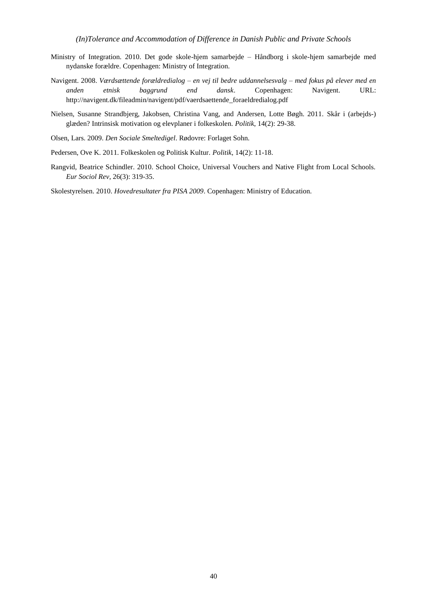- Ministry of Integration. 2010. Det gode skole-hjem samarbejde Håndborg i skole-hjem samarbejde med nydanske forældre. Copenhagen: Ministry of Integration.
- Navigent. 2008. *Værdsættende forældredialog – en vej til bedre uddannelsesvalg – med fokus på elever med en anden etnisk baggrund end dansk*. Copenhagen: Navigent. URL: [http://navigent.dk/fileadmin/navigent/pdf/vaerdsaettende\\_foraeldredialog.pdf](http://navigent.dk/fileadmin/navigent/pdf/vaerdsaettende_foraeldredialog.pdf)
- Nielsen, Susanne Strandbjerg, Jakobsen, Christina Vang, and Andersen, Lotte Bøgh. 2011. Skår i (arbejds-) glæden? Intrinsisk motivation og elevplaner i folkeskolen. *Politik*, 14(2): 29-38.
- Olsen, Lars. 2009. *Den Sociale Smeltedigel*. Rødovre: Forlaget Sohn.
- Pedersen, Ove K. 2011. Folkeskolen og Politisk Kultur. *Politik*, 14(2): 11-18.
- Rangvid, Beatrice Schindler. 2010. School Choice, Universal Vouchers and Native Flight from Local Schools. *Eur Sociol Rev*, 26(3): 319-35.

Skolestyrelsen. 2010. *Hovedresultater fra PISA 2009*. Copenhagen: Ministry of Education.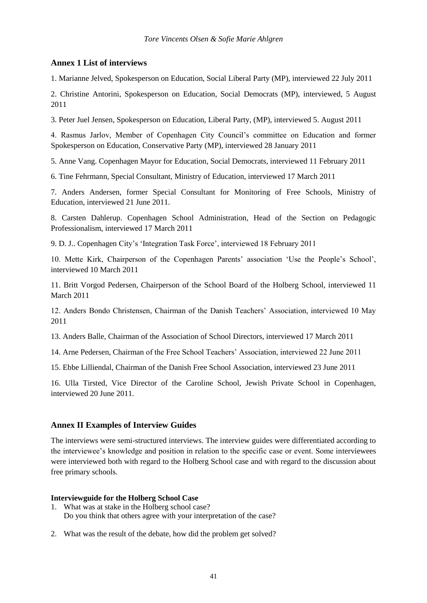## <span id="page-47-0"></span>**Annex 1 List of interviews**

1. Marianne Jelved, Spokesperson on Education, Social Liberal Party (MP), interviewed 22 July 2011

2. Christine Antorini, Spokesperson on Education, Social Democrats (MP), interviewed, 5 August 2011

3. Peter Juel Jensen, Spokesperson on Education, Liberal Party, (MP), interviewed 5. August 2011

4. Rasmus Jarlov, Member of Copenhagen City Council's committee on Education and former Spokesperson on Education, Conservative Party (MP), interviewed 28 January 2011

5. Anne Vang. Copenhagen Mayor for Education, Social Democrats, interviewed 11 February 2011

6. Tine Fehrmann, Special Consultant, Ministry of Education, interviewed 17 March 2011

7. Anders Andersen, former Special Consultant for Monitoring of Free Schools, Ministry of Education, interviewed 21 June 2011.

8. Carsten Dahlerup. Copenhagen School Administration, Head of the Section on Pedagogic Professionalism, interviewed 17 March 2011

9. D. J.. Copenhagen City's 'Integration Task Force', interviewed 18 February 2011

10. Mette Kirk, Chairperson of the Copenhagen Parents' association 'Use the People's School', interviewed 10 March 2011

11. Britt Vorgod Pedersen, Chairperson of the School Board of the Holberg School, interviewed 11 March 2011

12. Anders Bondo Christensen, Chairman of the Danish Teachers' Association, interviewed 10 May 2011

13. Anders Balle, Chairman of the Association of School Directors, interviewed 17 March 2011

14. Arne Pedersen, Chairman of the Free School Teachers' Association, interviewed 22 June 2011

15. Ebbe Lilliendal, Chairman of the Danish Free School Association, interviewed 23 June 2011

16. Ulla Tirsted, Vice Director of the Caroline School, Jewish Private School in Copenhagen, interviewed 20 June 2011.

#### <span id="page-47-1"></span>**Annex II Examples of Interview Guides**

The interviews were semi-structured interviews. The interview guides were differentiated according to the interviewee's knowledge and position in relation to the specific case or event. Some interviewees were interviewed both with regard to the Holberg School case and with regard to the discussion about free primary schools.

#### **Interviewguide for the Holberg School Case**

- 1. What was at stake in the Holberg school case? Do you think that others agree with your interpretation of the case?
- 2. What was the result of the debate, how did the problem get solved?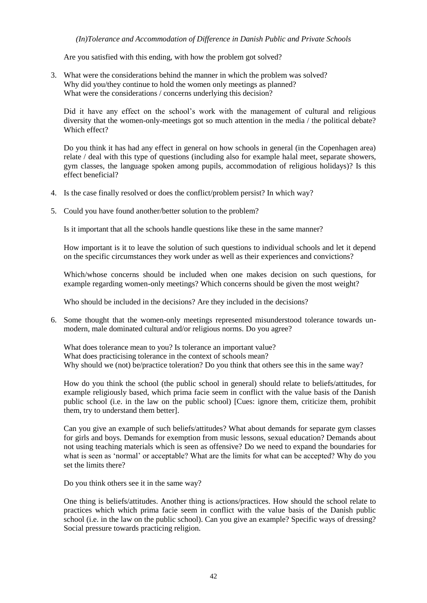*(In)Tolerance and Accommodation of Difference in Danish Public and Private Schools*

Are you satisfied with this ending, with how the problem got solved?

3. What were the considerations behind the manner in which the problem was solved? Why did you/they continue to hold the women only meetings as planned? What were the considerations / concerns underlying this decision?

Did it have any effect on the school's work with the management of cultural and religious diversity that the women-only-meetings got so much attention in the media / the political debate? Which effect?

Do you think it has had any effect in general on how schools in general (in the Copenhagen area) relate / deal with this type of questions (including also for example halal meet, separate showers, gym classes, the language spoken among pupils, accommodation of religious holidays)? Is this effect beneficial?

- 4. Is the case finally resolved or does the conflict/problem persist? In which way?
- 5. Could you have found another/better solution to the problem?

Is it important that all the schools handle questions like these in the same manner?

How important is it to leave the solution of such questions to individual schools and let it depend on the specific circumstances they work under as well as their experiences and convictions?

Which/whose concerns should be included when one makes decision on such questions, for example regarding women-only meetings? Which concerns should be given the most weight?

Who should be included in the decisions? Are they included in the decisions?

6. Some thought that the women-only meetings represented misunderstood tolerance towards unmodern, male dominated cultural and/or religious norms. Do you agree?

What does tolerance mean to you? Is tolerance an important value? What does practicising tolerance in the context of schools mean? Why should we (not) be/practice toleration? Do you think that others see this in the same way?

How do you think the school (the public school in general) should relate to beliefs/attitudes, for example religiously based, which prima facie seem in conflict with the value basis of the Danish public school (i.e. in the law on the public school) [Cues: ignore them, criticize them, prohibit them, try to understand them better].

Can you give an example of such beliefs/attitudes? What about demands for separate gym classes for girls and boys. Demands for exemption from music lessons, sexual education? Demands about not using teaching materials which is seen as offensive? Do we need to expand the boundaries for what is seen as 'normal' or acceptable? What are the limits for what can be accepted? Why do you set the limits there?

Do you think others see it in the same way?

One thing is beliefs/attitudes. Another thing is actions/practices. How should the school relate to practices which which prima facie seem in conflict with the value basis of the Danish public school (i.e. in the law on the public school). Can you give an example? Specific ways of dressing? Social pressure towards practicing religion.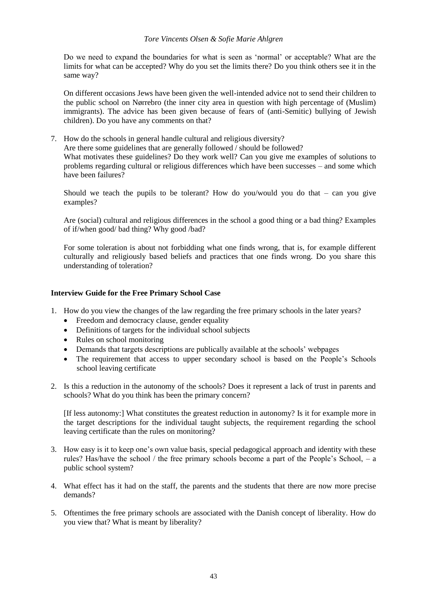#### *Tore Vincents Olsen & Sofie Marie Ahlgren*

Do we need to expand the boundaries for what is seen as 'normal' or acceptable? What are the limits for what can be accepted? Why do you set the limits there? Do you think others see it in the same way?

On different occasions Jews have been given the well-intended advice not to send their children to the public school on Nørrebro (the inner city area in question with high percentage of (Muslim) immigrants). The advice has been given because of fears of (anti-Semitic) bullying of Jewish children). Do you have any comments on that?

7. How do the schools in general handle cultural and religious diversity? Are there some guidelines that are generally followed / should be followed? What motivates these guidelines? Do they work well? Can you give me examples of solutions to problems regarding cultural or religious differences which have been successes – and some which have been failures?

Should we teach the pupils to be tolerant? How do you/would you do that  $-$  can you give examples?

Are (social) cultural and religious differences in the school a good thing or a bad thing? Examples of if/when good/ bad thing? Why good /bad?

For some toleration is about not forbidding what one finds wrong, that is, for example different culturally and religiously based beliefs and practices that one finds wrong. Do you share this understanding of toleration?

## **Interview Guide for the Free Primary School Case**

- 1. How do you view the changes of the law regarding the free primary schools in the later years?
	- Freedom and democracy clause, gender equality
	- Definitions of targets for the individual school subjects
	- Rules on school monitoring
	- Demands that targets descriptions are publically available at the schools' webpages
	- The requirement that access to upper secondary school is based on the People's Schools school leaving certificate
- 2. Is this a reduction in the autonomy of the schools? Does it represent a lack of trust in parents and schools? What do you think has been the primary concern?

[If less autonomy:] What constitutes the greatest reduction in autonomy? Is it for example more in the target descriptions for the individual taught subjects, the requirement regarding the school leaving certificate than the rules on monitoring?

- 3. How easy is it to keep one's own value basis, special pedagogical approach and identity with these rules? Has/have the school / the free primary schools become a part of the People's School, – a public school system?
- 4. What effect has it had on the staff, the parents and the students that there are now more precise demands?
- 5. Oftentimes the free primary schools are associated with the Danish concept of liberality. How do you view that? What is meant by liberality?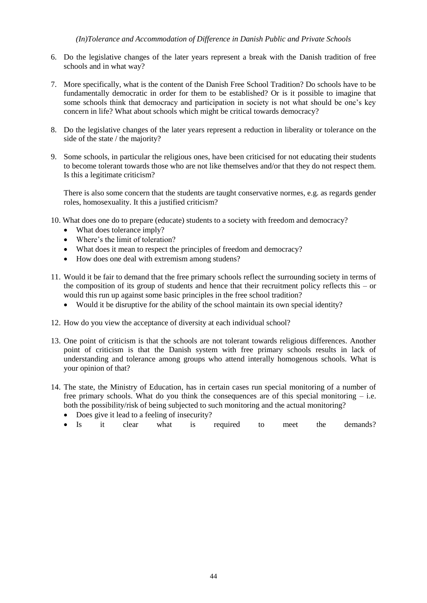- 6. Do the legislative changes of the later years represent a break with the Danish tradition of free schools and in what way?
- 7. More specifically, what is the content of the Danish Free School Tradition? Do schools have to be fundamentally democratic in order for them to be established? Or is it possible to imagine that some schools think that democracy and participation in society is not what should be one's key concern in life? What about schools which might be critical towards democracy?
- 8. Do the legislative changes of the later years represent a reduction in liberality or tolerance on the side of the state / the majority?
- 9. Some schools, in particular the religious ones, have been criticised for not educating their students to become tolerant towards those who are not like themselves and/or that they do not respect them. Is this a legitimate criticism?

There is also some concern that the students are taught conservative normes, e.g. as regards gender roles, homosexuality. It this a justified criticism?

- 10. What does one do to prepare (educate) students to a society with freedom and democracy?
	- What does tolerance imply?
	- Where's the limit of toleration?
	- What does it mean to respect the principles of freedom and democracy?
	- How does one deal with extremism among studens?
- 11. Would it be fair to demand that the free primary schools reflect the surrounding society in terms of the composition of its group of students and hence that their recruitment policy reflects this – or would this run up against some basic principles in the free school tradition?
	- Would it be disruptive for the ability of the school maintain its own special identity?
- 12. How do you view the acceptance of diversity at each individual school?
- 13. One point of criticism is that the schools are not tolerant towards religious differences. Another point of criticism is that the Danish system with free primary schools results in lack of understanding and tolerance among groups who attend interally homogenous schools. What is your opinion of that?
- 14. The state, the Ministry of Education, has in certain cases run special monitoring of a number of free primary schools. What do you think the consequences are of this special monitoring  $-$  i.e. both the possibility/risk of being subjected to such monitoring and the actual monitoring?
	- Does give it lead to a feeling of insecurity?
	- Is it clear what is required to meet the demands?